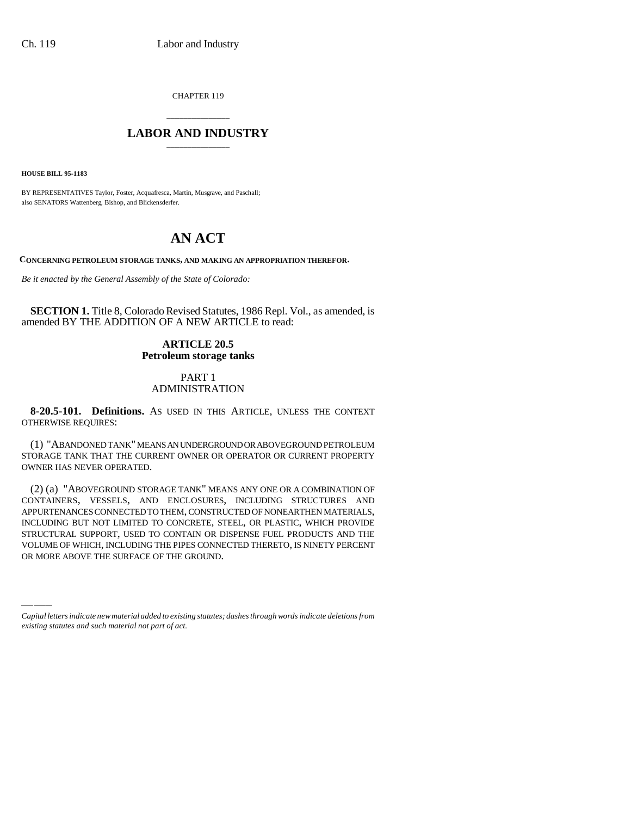CHAPTER 119

## \_\_\_\_\_\_\_\_\_\_\_\_\_\_\_ **LABOR AND INDUSTRY** \_\_\_\_\_\_\_\_\_\_\_\_\_\_\_

**HOUSE BILL 95-1183**

BY REPRESENTATIVES Taylor, Foster, Acquafresca, Martin, Musgrave, and Paschall; also SENATORS Wattenberg, Bishop, and Blickensderfer.

# **AN ACT**

**CONCERNING PETROLEUM STORAGE TANKS, AND MAKING AN APPROPRIATION THEREFOR.**

*Be it enacted by the General Assembly of the State of Colorado:*

**SECTION 1.** Title 8, Colorado Revised Statutes, 1986 Repl. Vol., as amended, is amended BY THE ADDITION OF A NEW ARTICLE to read:

### **ARTICLE 20.5 Petroleum storage tanks**

### PART 1 ADMINISTRATION

**8-20.5-101. Definitions.** AS USED IN THIS ARTICLE, UNLESS THE CONTEXT OTHERWISE REQUIRES:

(1) "ABANDONED TANK" MEANS AN UNDERGROUND OR ABOVEGROUND PETROLEUM STORAGE TANK THAT THE CURRENT OWNER OR OPERATOR OR CURRENT PROPERTY OWNER HAS NEVER OPERATED.

INCLUDING BUT NOT LIMITED TO CONCRETE, STEEL, OR PLASTIC, WHICH PROVIDE<br>STRUCTURAL SUPPORT, USED TO CONTAIN OR DISPENSE FUEL PRODUCTS AND THE (2) (a) "ABOVEGROUND STORAGE TANK" MEANS ANY ONE OR A COMBINATION OF CONTAINERS, VESSELS, AND ENCLOSURES, INCLUDING STRUCTURES AND APPURTENANCES CONNECTED TO THEM, CONSTRUCTED OF NONEARTHEN MATERIALS, INCLUDING BUT NOT LIMITED TO CONCRETE, STEEL, OR PLASTIC, WHICH PROVIDE VOLUME OF WHICH, INCLUDING THE PIPES CONNECTED THERETO, IS NINETY PERCENT OR MORE ABOVE THE SURFACE OF THE GROUND.

*Capital letters indicate new material added to existing statutes; dashes through words indicate deletions from existing statutes and such material not part of act.*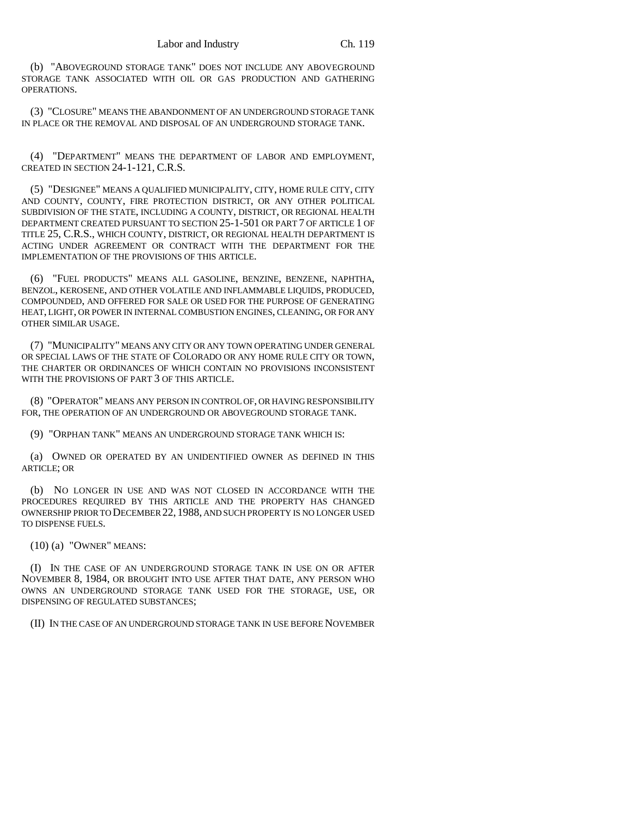(b) "ABOVEGROUND STORAGE TANK" DOES NOT INCLUDE ANY ABOVEGROUND STORAGE TANK ASSOCIATED WITH OIL OR GAS PRODUCTION AND GATHERING OPERATIONS.

(3) "CLOSURE" MEANS THE ABANDONMENT OF AN UNDERGROUND STORAGE TANK IN PLACE OR THE REMOVAL AND DISPOSAL OF AN UNDERGROUND STORAGE TANK.

(4) "DEPARTMENT" MEANS THE DEPARTMENT OF LABOR AND EMPLOYMENT, CREATED IN SECTION 24-1-121, C.R.S.

(5) "DESIGNEE" MEANS A QUALIFIED MUNICIPALITY, CITY, HOME RULE CITY, CITY AND COUNTY, COUNTY, FIRE PROTECTION DISTRICT, OR ANY OTHER POLITICAL SUBDIVISION OF THE STATE, INCLUDING A COUNTY, DISTRICT, OR REGIONAL HEALTH DEPARTMENT CREATED PURSUANT TO SECTION 25-1-501 OR PART 7 OF ARTICLE 1 OF TITLE 25, C.R.S., WHICH COUNTY, DISTRICT, OR REGIONAL HEALTH DEPARTMENT IS ACTING UNDER AGREEMENT OR CONTRACT WITH THE DEPARTMENT FOR THE IMPLEMENTATION OF THE PROVISIONS OF THIS ARTICLE.

(6) "FUEL PRODUCTS" MEANS ALL GASOLINE, BENZINE, BENZENE, NAPHTHA, BENZOL, KEROSENE, AND OTHER VOLATILE AND INFLAMMABLE LIQUIDS, PRODUCED, COMPOUNDED, AND OFFERED FOR SALE OR USED FOR THE PURPOSE OF GENERATING HEAT, LIGHT, OR POWER IN INTERNAL COMBUSTION ENGINES, CLEANING, OR FOR ANY OTHER SIMILAR USAGE.

(7) "MUNICIPALITY" MEANS ANY CITY OR ANY TOWN OPERATING UNDER GENERAL OR SPECIAL LAWS OF THE STATE OF COLORADO OR ANY HOME RULE CITY OR TOWN, THE CHARTER OR ORDINANCES OF WHICH CONTAIN NO PROVISIONS INCONSISTENT WITH THE PROVISIONS OF PART 3 OF THIS ARTICLE.

(8) "OPERATOR" MEANS ANY PERSON IN CONTROL OF, OR HAVING RESPONSIBILITY FOR, THE OPERATION OF AN UNDERGROUND OR ABOVEGROUND STORAGE TANK.

(9) "ORPHAN TANK" MEANS AN UNDERGROUND STORAGE TANK WHICH IS:

(a) OWNED OR OPERATED BY AN UNIDENTIFIED OWNER AS DEFINED IN THIS ARTICLE; OR

(b) NO LONGER IN USE AND WAS NOT CLOSED IN ACCORDANCE WITH THE PROCEDURES REQUIRED BY THIS ARTICLE AND THE PROPERTY HAS CHANGED OWNERSHIP PRIOR TO DECEMBER 22, 1988, AND SUCH PROPERTY IS NO LONGER USED TO DISPENSE FUELS.

(10) (a) "OWNER" MEANS:

(I) IN THE CASE OF AN UNDERGROUND STORAGE TANK IN USE ON OR AFTER NOVEMBER 8, 1984, OR BROUGHT INTO USE AFTER THAT DATE, ANY PERSON WHO OWNS AN UNDERGROUND STORAGE TANK USED FOR THE STORAGE, USE, OR DISPENSING OF REGULATED SUBSTANCES;

(II) IN THE CASE OF AN UNDERGROUND STORAGE TANK IN USE BEFORE NOVEMBER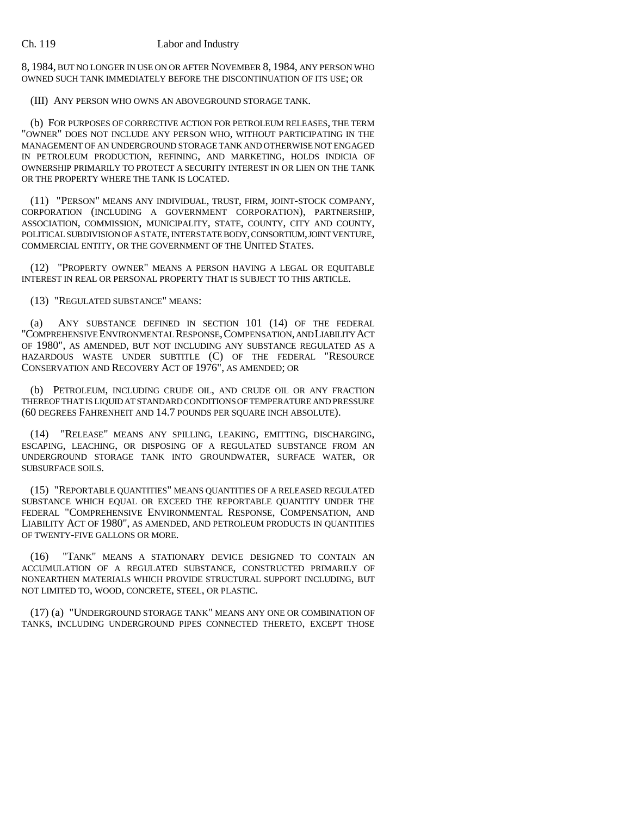8, 1984, BUT NO LONGER IN USE ON OR AFTER NOVEMBER 8, 1984, ANY PERSON WHO OWNED SUCH TANK IMMEDIATELY BEFORE THE DISCONTINUATION OF ITS USE; OR

(III) ANY PERSON WHO OWNS AN ABOVEGROUND STORAGE TANK.

(b) FOR PURPOSES OF CORRECTIVE ACTION FOR PETROLEUM RELEASES, THE TERM "OWNER" DOES NOT INCLUDE ANY PERSON WHO, WITHOUT PARTICIPATING IN THE MANAGEMENT OF AN UNDERGROUND STORAGE TANK AND OTHERWISE NOT ENGAGED IN PETROLEUM PRODUCTION, REFINING, AND MARKETING, HOLDS INDICIA OF OWNERSHIP PRIMARILY TO PROTECT A SECURITY INTEREST IN OR LIEN ON THE TANK OR THE PROPERTY WHERE THE TANK IS LOCATED.

(11) "PERSON" MEANS ANY INDIVIDUAL, TRUST, FIRM, JOINT-STOCK COMPANY, CORPORATION (INCLUDING A GOVERNMENT CORPORATION), PARTNERSHIP, ASSOCIATION, COMMISSION, MUNICIPALITY, STATE, COUNTY, CITY AND COUNTY, POLITICAL SUBDIVISION OF A STATE, INTERSTATE BODY, CONSORTIUM, JOINT VENTURE, COMMERCIAL ENTITY, OR THE GOVERNMENT OF THE UNITED STATES.

(12) "PROPERTY OWNER" MEANS A PERSON HAVING A LEGAL OR EQUITABLE INTEREST IN REAL OR PERSONAL PROPERTY THAT IS SUBJECT TO THIS ARTICLE.

### (13) "REGULATED SUBSTANCE" MEANS:

(a) ANY SUBSTANCE DEFINED IN SECTION 101 (14) OF THE FEDERAL "COMPREHENSIVE ENVIRONMENTAL RESPONSE,COMPENSATION, AND LIABILITY ACT OF 1980", AS AMENDED, BUT NOT INCLUDING ANY SUBSTANCE REGULATED AS A HAZARDOUS WASTE UNDER SUBTITLE (C) OF THE FEDERAL "RESOURCE CONSERVATION AND RECOVERY ACT OF 1976", AS AMENDED; OR

(b) PETROLEUM, INCLUDING CRUDE OIL, AND CRUDE OIL OR ANY FRACTION THEREOF THAT IS LIQUID AT STANDARD CONDITIONS OF TEMPERATURE AND PRESSURE (60 DEGREES FAHRENHEIT AND 14.7 POUNDS PER SQUARE INCH ABSOLUTE).

(14) "RELEASE" MEANS ANY SPILLING, LEAKING, EMITTING, DISCHARGING, ESCAPING, LEACHING, OR DISPOSING OF A REGULATED SUBSTANCE FROM AN UNDERGROUND STORAGE TANK INTO GROUNDWATER, SURFACE WATER, OR SUBSURFACE SOILS.

(15) "REPORTABLE QUANTITIES" MEANS QUANTITIES OF A RELEASED REGULATED SUBSTANCE WHICH EQUAL OR EXCEED THE REPORTABLE QUANTITY UNDER THE FEDERAL "COMPREHENSIVE ENVIRONMENTAL RESPONSE, COMPENSATION, AND LIABILITY ACT OF 1980", AS AMENDED, AND PETROLEUM PRODUCTS IN QUANTITIES OF TWENTY-FIVE GALLONS OR MORE.

(16) "TANK" MEANS A STATIONARY DEVICE DESIGNED TO CONTAIN AN ACCUMULATION OF A REGULATED SUBSTANCE, CONSTRUCTED PRIMARILY OF NONEARTHEN MATERIALS WHICH PROVIDE STRUCTURAL SUPPORT INCLUDING, BUT NOT LIMITED TO, WOOD, CONCRETE, STEEL, OR PLASTIC.

(17) (a) "UNDERGROUND STORAGE TANK" MEANS ANY ONE OR COMBINATION OF TANKS, INCLUDING UNDERGROUND PIPES CONNECTED THERETO, EXCEPT THOSE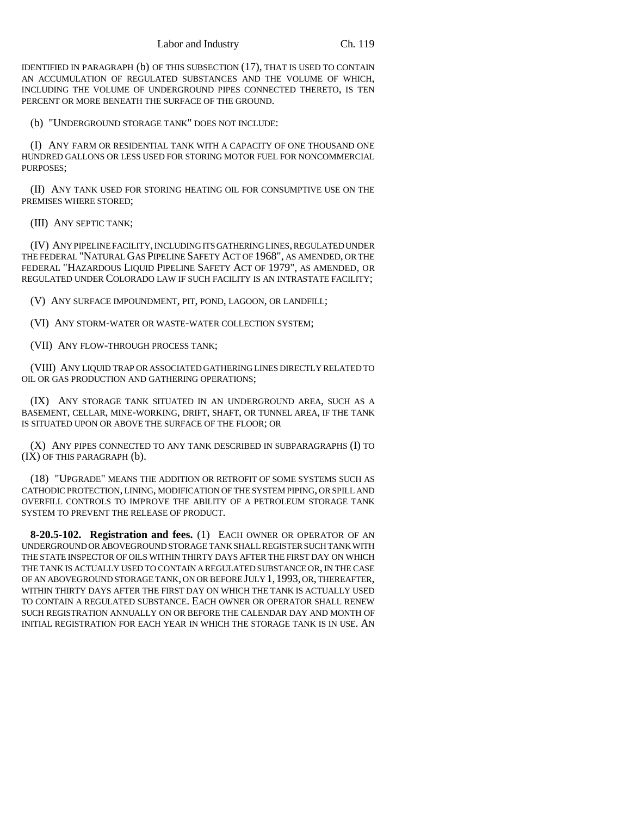IDENTIFIED IN PARAGRAPH (b) OF THIS SUBSECTION (17), THAT IS USED TO CONTAIN AN ACCUMULATION OF REGULATED SUBSTANCES AND THE VOLUME OF WHICH, INCLUDING THE VOLUME OF UNDERGROUND PIPES CONNECTED THERETO, IS TEN PERCENT OR MORE BENEATH THE SURFACE OF THE GROUND.

(b) "UNDERGROUND STORAGE TANK" DOES NOT INCLUDE:

(I) ANY FARM OR RESIDENTIAL TANK WITH A CAPACITY OF ONE THOUSAND ONE HUNDRED GALLONS OR LESS USED FOR STORING MOTOR FUEL FOR NONCOMMERCIAL PURPOSES;

(II) ANY TANK USED FOR STORING HEATING OIL FOR CONSUMPTIVE USE ON THE PREMISES WHERE STORED;

(III) ANY SEPTIC TANK;

(IV) ANY PIPELINE FACILITY, INCLUDING ITS GATHERING LINES, REGULATED UNDER THE FEDERAL "NATURAL GAS PIPELINE SAFETY ACT OF 1968", AS AMENDED, OR THE FEDERAL "HAZARDOUS LIQUID PIPELINE SAFETY ACT OF 1979", AS AMENDED, OR REGULATED UNDER COLORADO LAW IF SUCH FACILITY IS AN INTRASTATE FACILITY;

(V) ANY SURFACE IMPOUNDMENT, PIT, POND, LAGOON, OR LANDFILL;

(VI) ANY STORM-WATER OR WASTE-WATER COLLECTION SYSTEM;

(VII) ANY FLOW-THROUGH PROCESS TANK;

(VIII) ANY LIQUID TRAP OR ASSOCIATED GATHERING LINES DIRECTLY RELATED TO OIL OR GAS PRODUCTION AND GATHERING OPERATIONS;

(IX) ANY STORAGE TANK SITUATED IN AN UNDERGROUND AREA, SUCH AS A BASEMENT, CELLAR, MINE-WORKING, DRIFT, SHAFT, OR TUNNEL AREA, IF THE TANK IS SITUATED UPON OR ABOVE THE SURFACE OF THE FLOOR; OR

(X) ANY PIPES CONNECTED TO ANY TANK DESCRIBED IN SUBPARAGRAPHS (I) TO (IX) OF THIS PARAGRAPH (b).

(18) "UPGRADE" MEANS THE ADDITION OR RETROFIT OF SOME SYSTEMS SUCH AS CATHODIC PROTECTION, LINING, MODIFICATION OF THE SYSTEM PIPING, OR SPILL AND OVERFILL CONTROLS TO IMPROVE THE ABILITY OF A PETROLEUM STORAGE TANK SYSTEM TO PREVENT THE RELEASE OF PRODUCT.

**8-20.5-102. Registration and fees.** (1) EACH OWNER OR OPERATOR OF AN UNDERGROUND OR ABOVEGROUND STORAGE TANK SHALL REGISTER SUCH TANK WITH THE STATE INSPECTOR OF OILS WITHIN THIRTY DAYS AFTER THE FIRST DAY ON WHICH THE TANK IS ACTUALLY USED TO CONTAIN A REGULATED SUBSTANCE OR, IN THE CASE OF AN ABOVEGROUND STORAGE TANK, ON OR BEFORE JULY 1,1993, OR, THEREAFTER, WITHIN THIRTY DAYS AFTER THE FIRST DAY ON WHICH THE TANK IS ACTUALLY USED TO CONTAIN A REGULATED SUBSTANCE. EACH OWNER OR OPERATOR SHALL RENEW SUCH REGISTRATION ANNUALLY ON OR BEFORE THE CALENDAR DAY AND MONTH OF INITIAL REGISTRATION FOR EACH YEAR IN WHICH THE STORAGE TANK IS IN USE. AN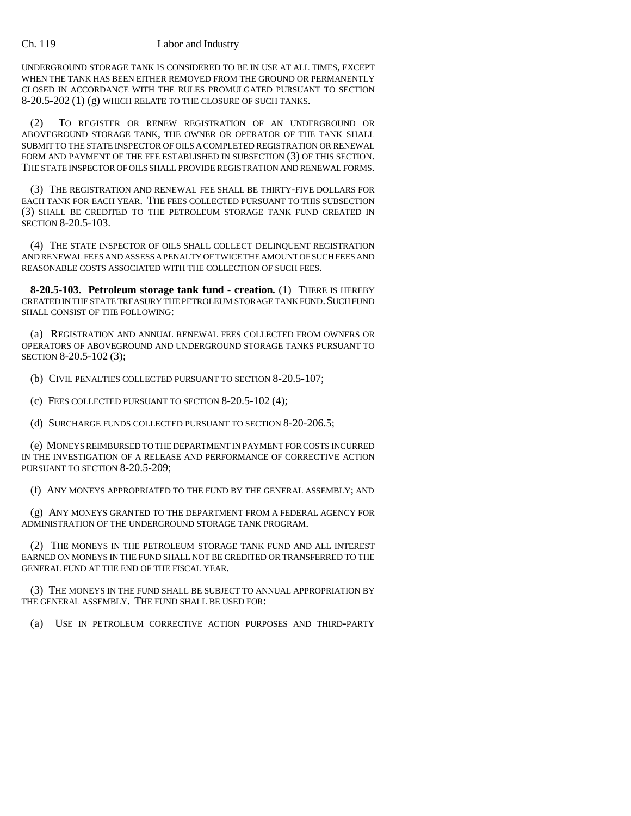UNDERGROUND STORAGE TANK IS CONSIDERED TO BE IN USE AT ALL TIMES, EXCEPT WHEN THE TANK HAS BEEN EITHER REMOVED FROM THE GROUND OR PERMANENTLY CLOSED IN ACCORDANCE WITH THE RULES PROMULGATED PURSUANT TO SECTION 8-20.5-202 (1) (g) WHICH RELATE TO THE CLOSURE OF SUCH TANKS.

(2) TO REGISTER OR RENEW REGISTRATION OF AN UNDERGROUND OR ABOVEGROUND STORAGE TANK, THE OWNER OR OPERATOR OF THE TANK SHALL SUBMIT TO THE STATE INSPECTOR OF OILS A COMPLETED REGISTRATION OR RENEWAL FORM AND PAYMENT OF THE FEE ESTABLISHED IN SUBSECTION (3) OF THIS SECTION. THE STATE INSPECTOR OF OILS SHALL PROVIDE REGISTRATION AND RENEWAL FORMS.

(3) THE REGISTRATION AND RENEWAL FEE SHALL BE THIRTY-FIVE DOLLARS FOR EACH TANK FOR EACH YEAR. THE FEES COLLECTED PURSUANT TO THIS SUBSECTION (3) SHALL BE CREDITED TO THE PETROLEUM STORAGE TANK FUND CREATED IN SECTION 8-20.5-103.

(4) THE STATE INSPECTOR OF OILS SHALL COLLECT DELINQUENT REGISTRATION AND RENEWAL FEES AND ASSESS A PENALTY OF TWICE THE AMOUNT OF SUCH FEES AND REASONABLE COSTS ASSOCIATED WITH THE COLLECTION OF SUCH FEES.

**8-20.5-103. Petroleum storage tank fund - creation.** (1) THERE IS HEREBY CREATED IN THE STATE TREASURY THE PETROLEUM STORAGE TANK FUND. SUCH FUND SHALL CONSIST OF THE FOLLOWING:

(a) REGISTRATION AND ANNUAL RENEWAL FEES COLLECTED FROM OWNERS OR OPERATORS OF ABOVEGROUND AND UNDERGROUND STORAGE TANKS PURSUANT TO SECTION 8-20.5-102 (3);

(b) CIVIL PENALTIES COLLECTED PURSUANT TO SECTION 8-20.5-107;

(c) FEES COLLECTED PURSUANT TO SECTION 8-20.5-102 (4);

(d) SURCHARGE FUNDS COLLECTED PURSUANT TO SECTION 8-20-206.5;

(e) MONEYS REIMBURSED TO THE DEPARTMENT IN PAYMENT FOR COSTS INCURRED IN THE INVESTIGATION OF A RELEASE AND PERFORMANCE OF CORRECTIVE ACTION PURSUANT TO SECTION 8-20.5-209;

(f) ANY MONEYS APPROPRIATED TO THE FUND BY THE GENERAL ASSEMBLY; AND

(g) ANY MONEYS GRANTED TO THE DEPARTMENT FROM A FEDERAL AGENCY FOR ADMINISTRATION OF THE UNDERGROUND STORAGE TANK PROGRAM.

(2) THE MONEYS IN THE PETROLEUM STORAGE TANK FUND AND ALL INTEREST EARNED ON MONEYS IN THE FUND SHALL NOT BE CREDITED OR TRANSFERRED TO THE GENERAL FUND AT THE END OF THE FISCAL YEAR.

(3) THE MONEYS IN THE FUND SHALL BE SUBJECT TO ANNUAL APPROPRIATION BY THE GENERAL ASSEMBLY. THE FUND SHALL BE USED FOR:

(a) USE IN PETROLEUM CORRECTIVE ACTION PURPOSES AND THIRD-PARTY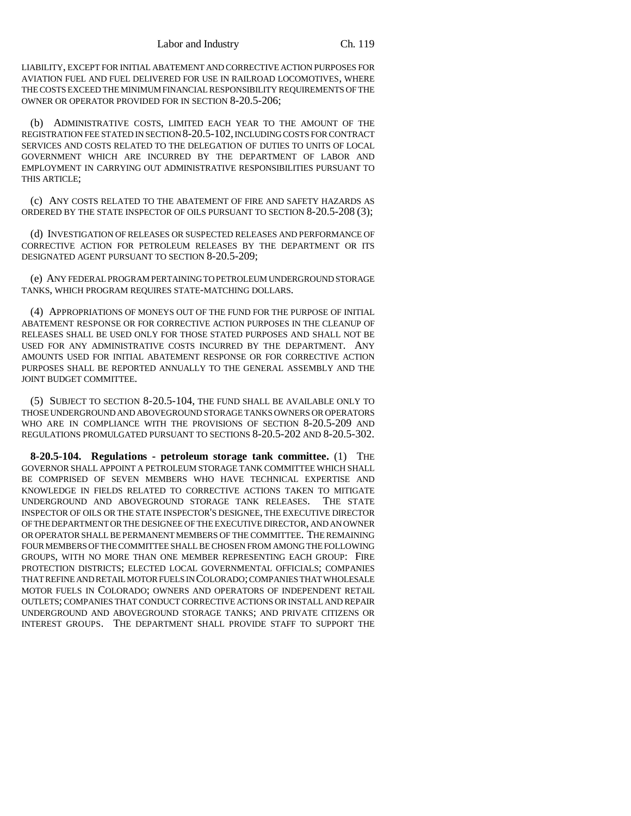LIABILITY, EXCEPT FOR INITIAL ABATEMENT AND CORRECTIVE ACTION PURPOSES FOR AVIATION FUEL AND FUEL DELIVERED FOR USE IN RAILROAD LOCOMOTIVES, WHERE THE COSTS EXCEED THE MINIMUM FINANCIAL RESPONSIBILITY REQUIREMENTS OF THE OWNER OR OPERATOR PROVIDED FOR IN SECTION 8-20.5-206;

(b) ADMINISTRATIVE COSTS, LIMITED EACH YEAR TO THE AMOUNT OF THE REGISTRATION FEE STATED IN SECTION 8-20.5-102, INCLUDING COSTS FOR CONTRACT SERVICES AND COSTS RELATED TO THE DELEGATION OF DUTIES TO UNITS OF LOCAL GOVERNMENT WHICH ARE INCURRED BY THE DEPARTMENT OF LABOR AND EMPLOYMENT IN CARRYING OUT ADMINISTRATIVE RESPONSIBILITIES PURSUANT TO THIS ARTICLE;

(c) ANY COSTS RELATED TO THE ABATEMENT OF FIRE AND SAFETY HAZARDS AS ORDERED BY THE STATE INSPECTOR OF OILS PURSUANT TO SECTION 8-20.5-208 (3);

(d) INVESTIGATION OF RELEASES OR SUSPECTED RELEASES AND PERFORMANCE OF CORRECTIVE ACTION FOR PETROLEUM RELEASES BY THE DEPARTMENT OR ITS DESIGNATED AGENT PURSUANT TO SECTION 8-20.5-209;

(e) ANY FEDERAL PROGRAM PERTAINING TO PETROLEUM UNDERGROUND STORAGE TANKS, WHICH PROGRAM REQUIRES STATE-MATCHING DOLLARS.

(4) APPROPRIATIONS OF MONEYS OUT OF THE FUND FOR THE PURPOSE OF INITIAL ABATEMENT RESPONSE OR FOR CORRECTIVE ACTION PURPOSES IN THE CLEANUP OF RELEASES SHALL BE USED ONLY FOR THOSE STATED PURPOSES AND SHALL NOT BE USED FOR ANY ADMINISTRATIVE COSTS INCURRED BY THE DEPARTMENT. ANY AMOUNTS USED FOR INITIAL ABATEMENT RESPONSE OR FOR CORRECTIVE ACTION PURPOSES SHALL BE REPORTED ANNUALLY TO THE GENERAL ASSEMBLY AND THE JOINT BUDGET COMMITTEE.

(5) SUBJECT TO SECTION 8-20.5-104, THE FUND SHALL BE AVAILABLE ONLY TO THOSE UNDERGROUND AND ABOVEGROUND STORAGE TANKS OWNERS OR OPERATORS WHO ARE IN COMPLIANCE WITH THE PROVISIONS OF SECTION 8-20.5-209 AND REGULATIONS PROMULGATED PURSUANT TO SECTIONS 8-20.5-202 AND 8-20.5-302.

**8-20.5-104. Regulations - petroleum storage tank committee.** (1) THE GOVERNOR SHALL APPOINT A PETROLEUM STORAGE TANK COMMITTEE WHICH SHALL BE COMPRISED OF SEVEN MEMBERS WHO HAVE TECHNICAL EXPERTISE AND KNOWLEDGE IN FIELDS RELATED TO CORRECTIVE ACTIONS TAKEN TO MITIGATE UNDERGROUND AND ABOVEGROUND STORAGE TANK RELEASES. THE STATE INSPECTOR OF OILS OR THE STATE INSPECTOR'S DESIGNEE, THE EXECUTIVE DIRECTOR OF THE DEPARTMENT OR THE DESIGNEE OF THE EXECUTIVE DIRECTOR, AND AN OWNER OR OPERATOR SHALL BE PERMANENT MEMBERS OF THE COMMITTEE. THE REMAINING FOUR MEMBERS OF THE COMMITTEE SHALL BE CHOSEN FROM AMONG THE FOLLOWING GROUPS, WITH NO MORE THAN ONE MEMBER REPRESENTING EACH GROUP: FIRE PROTECTION DISTRICTS; ELECTED LOCAL GOVERNMENTAL OFFICIALS; COMPANIES THAT REFINE AND RETAIL MOTOR FUELS IN COLORADO; COMPANIES THAT WHOLESALE MOTOR FUELS IN COLORADO; OWNERS AND OPERATORS OF INDEPENDENT RETAIL OUTLETS; COMPANIES THAT CONDUCT CORRECTIVE ACTIONS OR INSTALL AND REPAIR UNDERGROUND AND ABOVEGROUND STORAGE TANKS; AND PRIVATE CITIZENS OR INTEREST GROUPS. THE DEPARTMENT SHALL PROVIDE STAFF TO SUPPORT THE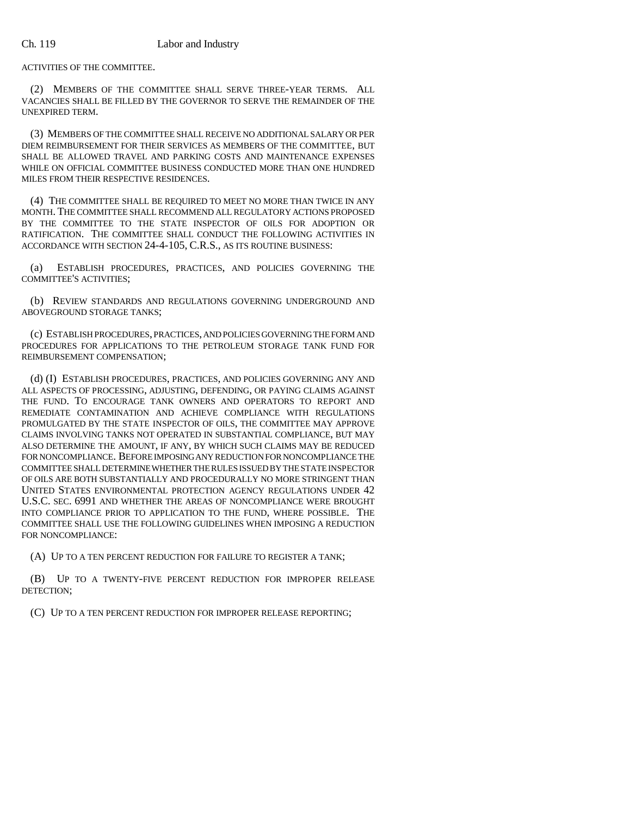ACTIVITIES OF THE COMMITTEE.

(2) MEMBERS OF THE COMMITTEE SHALL SERVE THREE-YEAR TERMS. ALL VACANCIES SHALL BE FILLED BY THE GOVERNOR TO SERVE THE REMAINDER OF THE UNEXPIRED TERM.

(3) MEMBERS OF THE COMMITTEE SHALL RECEIVE NO ADDITIONAL SALARY OR PER DIEM REIMBURSEMENT FOR THEIR SERVICES AS MEMBERS OF THE COMMITTEE, BUT SHALL BE ALLOWED TRAVEL AND PARKING COSTS AND MAINTENANCE EXPENSES WHILE ON OFFICIAL COMMITTEE BUSINESS CONDUCTED MORE THAN ONE HUNDRED MILES FROM THEIR RESPECTIVE RESIDENCES.

(4) THE COMMITTEE SHALL BE REQUIRED TO MEET NO MORE THAN TWICE IN ANY MONTH. THE COMMITTEE SHALL RECOMMEND ALL REGULATORY ACTIONS PROPOSED BY THE COMMITTEE TO THE STATE INSPECTOR OF OILS FOR ADOPTION OR RATIFICATION. THE COMMITTEE SHALL CONDUCT THE FOLLOWING ACTIVITIES IN ACCORDANCE WITH SECTION 24-4-105, C.R.S., AS ITS ROUTINE BUSINESS:

(a) ESTABLISH PROCEDURES, PRACTICES, AND POLICIES GOVERNING THE COMMITTEE'S ACTIVITIES;

(b) REVIEW STANDARDS AND REGULATIONS GOVERNING UNDERGROUND AND ABOVEGROUND STORAGE TANKS;

(c) ESTABLISH PROCEDURES, PRACTICES, AND POLICIES GOVERNING THE FORM AND PROCEDURES FOR APPLICATIONS TO THE PETROLEUM STORAGE TANK FUND FOR REIMBURSEMENT COMPENSATION;

(d) (I) ESTABLISH PROCEDURES, PRACTICES, AND POLICIES GOVERNING ANY AND ALL ASPECTS OF PROCESSING, ADJUSTING, DEFENDING, OR PAYING CLAIMS AGAINST THE FUND. TO ENCOURAGE TANK OWNERS AND OPERATORS TO REPORT AND REMEDIATE CONTAMINATION AND ACHIEVE COMPLIANCE WITH REGULATIONS PROMULGATED BY THE STATE INSPECTOR OF OILS, THE COMMITTEE MAY APPROVE CLAIMS INVOLVING TANKS NOT OPERATED IN SUBSTANTIAL COMPLIANCE, BUT MAY ALSO DETERMINE THE AMOUNT, IF ANY, BY WHICH SUCH CLAIMS MAY BE REDUCED FOR NONCOMPLIANCE. BEFORE IMPOSING ANY REDUCTION FOR NONCOMPLIANCE THE COMMITTEE SHALL DETERMINE WHETHER THE RULES ISSUED BY THE STATE INSPECTOR OF OILS ARE BOTH SUBSTANTIALLY AND PROCEDURALLY NO MORE STRINGENT THAN UNITED STATES ENVIRONMENTAL PROTECTION AGENCY REGULATIONS UNDER 42 U.S.C. SEC. 6991 AND WHETHER THE AREAS OF NONCOMPLIANCE WERE BROUGHT INTO COMPLIANCE PRIOR TO APPLICATION TO THE FUND, WHERE POSSIBLE. THE COMMITTEE SHALL USE THE FOLLOWING GUIDELINES WHEN IMPOSING A REDUCTION FOR NONCOMPLIANCE:

(A) UP TO A TEN PERCENT REDUCTION FOR FAILURE TO REGISTER A TANK;

(B) UP TO A TWENTY-FIVE PERCENT REDUCTION FOR IMPROPER RELEASE DETECTION;

(C) UP TO A TEN PERCENT REDUCTION FOR IMPROPER RELEASE REPORTING;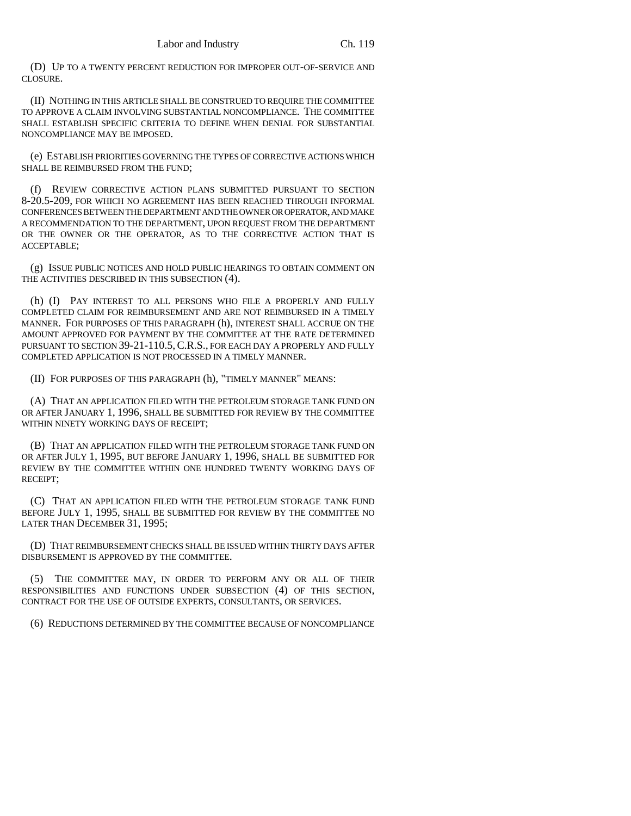(D) UP TO A TWENTY PERCENT REDUCTION FOR IMPROPER OUT-OF-SERVICE AND CLOSURE.

(II) NOTHING IN THIS ARTICLE SHALL BE CONSTRUED TO REQUIRE THE COMMITTEE TO APPROVE A CLAIM INVOLVING SUBSTANTIAL NONCOMPLIANCE. THE COMMITTEE SHALL ESTABLISH SPECIFIC CRITERIA TO DEFINE WHEN DENIAL FOR SUBSTANTIAL NONCOMPLIANCE MAY BE IMPOSED.

(e) ESTABLISH PRIORITIES GOVERNING THE TYPES OF CORRECTIVE ACTIONS WHICH SHALL BE REIMBURSED FROM THE FUND;

(f) REVIEW CORRECTIVE ACTION PLANS SUBMITTED PURSUANT TO SECTION 8-20.5-209, FOR WHICH NO AGREEMENT HAS BEEN REACHED THROUGH INFORMAL CONFERENCES BETWEEN THE DEPARTMENT AND THE OWNER OR OPERATOR, AND MAKE A RECOMMENDATION TO THE DEPARTMENT, UPON REQUEST FROM THE DEPARTMENT OR THE OWNER OR THE OPERATOR, AS TO THE CORRECTIVE ACTION THAT IS ACCEPTABLE;

(g) ISSUE PUBLIC NOTICES AND HOLD PUBLIC HEARINGS TO OBTAIN COMMENT ON THE ACTIVITIES DESCRIBED IN THIS SUBSECTION (4).

(h) (I) PAY INTEREST TO ALL PERSONS WHO FILE A PROPERLY AND FULLY COMPLETED CLAIM FOR REIMBURSEMENT AND ARE NOT REIMBURSED IN A TIMELY MANNER. FOR PURPOSES OF THIS PARAGRAPH (h), INTEREST SHALL ACCRUE ON THE AMOUNT APPROVED FOR PAYMENT BY THE COMMITTEE AT THE RATE DETERMINED PURSUANT TO SECTION 39-21-110.5,C.R.S., FOR EACH DAY A PROPERLY AND FULLY COMPLETED APPLICATION IS NOT PROCESSED IN A TIMELY MANNER.

(II) FOR PURPOSES OF THIS PARAGRAPH (h), "TIMELY MANNER" MEANS:

(A) THAT AN APPLICATION FILED WITH THE PETROLEUM STORAGE TANK FUND ON OR AFTER JANUARY 1, 1996, SHALL BE SUBMITTED FOR REVIEW BY THE COMMITTEE WITHIN NINETY WORKING DAYS OF RECEIPT;

(B) THAT AN APPLICATION FILED WITH THE PETROLEUM STORAGE TANK FUND ON OR AFTER JULY 1, 1995, BUT BEFORE JANUARY 1, 1996, SHALL BE SUBMITTED FOR REVIEW BY THE COMMITTEE WITHIN ONE HUNDRED TWENTY WORKING DAYS OF RECEIPT;

(C) THAT AN APPLICATION FILED WITH THE PETROLEUM STORAGE TANK FUND BEFORE JULY 1, 1995, SHALL BE SUBMITTED FOR REVIEW BY THE COMMITTEE NO LATER THAN DECEMBER 31, 1995;

(D) THAT REIMBURSEMENT CHECKS SHALL BE ISSUED WITHIN THIRTY DAYS AFTER DISBURSEMENT IS APPROVED BY THE COMMITTEE.

THE COMMITTEE MAY, IN ORDER TO PERFORM ANY OR ALL OF THEIR RESPONSIBILITIES AND FUNCTIONS UNDER SUBSECTION (4) OF THIS SECTION, CONTRACT FOR THE USE OF OUTSIDE EXPERTS, CONSULTANTS, OR SERVICES.

(6) REDUCTIONS DETERMINED BY THE COMMITTEE BECAUSE OF NONCOMPLIANCE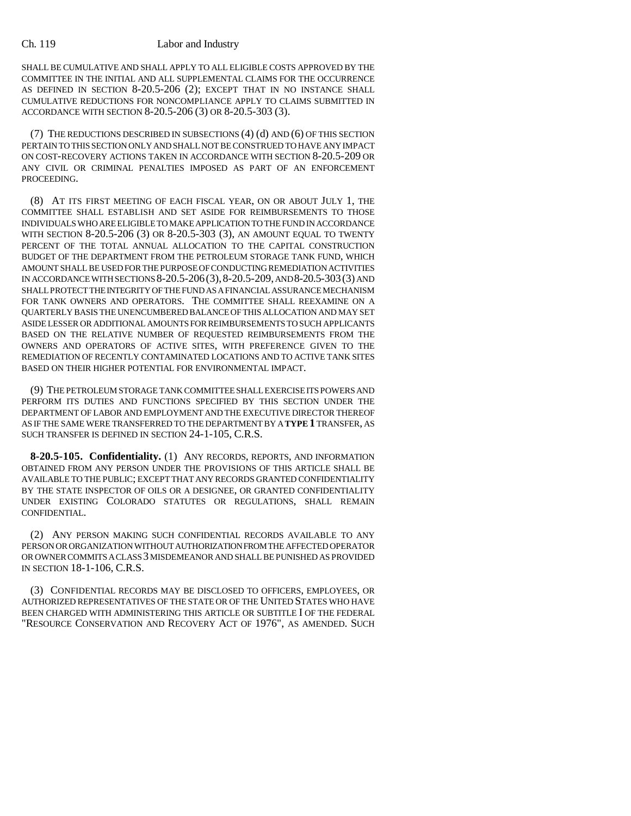SHALL BE CUMULATIVE AND SHALL APPLY TO ALL ELIGIBLE COSTS APPROVED BY THE COMMITTEE IN THE INITIAL AND ALL SUPPLEMENTAL CLAIMS FOR THE OCCURRENCE AS DEFINED IN SECTION 8-20.5-206 (2); EXCEPT THAT IN NO INSTANCE SHALL CUMULATIVE REDUCTIONS FOR NONCOMPLIANCE APPLY TO CLAIMS SUBMITTED IN ACCORDANCE WITH SECTION 8-20.5-206 (3) OR 8-20.5-303 (3).

(7) THE REDUCTIONS DESCRIBED IN SUBSECTIONS (4) (d) AND (6) OF THIS SECTION PERTAIN TO THIS SECTION ONLY AND SHALL NOT BE CONSTRUED TO HAVE ANY IMPACT ON COST-RECOVERY ACTIONS TAKEN IN ACCORDANCE WITH SECTION 8-20.5-209 OR ANY CIVIL OR CRIMINAL PENALTIES IMPOSED AS PART OF AN ENFORCEMENT PROCEEDING.

(8) AT ITS FIRST MEETING OF EACH FISCAL YEAR, ON OR ABOUT JULY 1, THE COMMITTEE SHALL ESTABLISH AND SET ASIDE FOR REIMBURSEMENTS TO THOSE INDIVIDUALS WHO ARE ELIGIBLE TO MAKE APPLICATION TO THE FUND IN ACCORDANCE WITH SECTION 8-20.5-206 (3) OR 8-20.5-303 (3), AN AMOUNT EQUAL TO TWENTY PERCENT OF THE TOTAL ANNUAL ALLOCATION TO THE CAPITAL CONSTRUCTION BUDGET OF THE DEPARTMENT FROM THE PETROLEUM STORAGE TANK FUND, WHICH AMOUNT SHALL BE USED FOR THE PURPOSE OF CONDUCTING REMEDIATION ACTIVITIES IN ACCORDANCE WITH SECTIONS 8-20.5-206(3),8-20.5-209, AND 8-20.5-303(3) AND SHALL PROTECT THE INTEGRITY OF THE FUND AS A FINANCIAL ASSURANCE MECHANISM FOR TANK OWNERS AND OPERATORS. THE COMMITTEE SHALL REEXAMINE ON A QUARTERLY BASIS THE UNENCUMBERED BALANCE OF THIS ALLOCATION AND MAY SET ASIDE LESSER OR ADDITIONAL AMOUNTS FOR REIMBURSEMENTS TO SUCH APPLICANTS BASED ON THE RELATIVE NUMBER OF REQUESTED REIMBURSEMENTS FROM THE OWNERS AND OPERATORS OF ACTIVE SITES, WITH PREFERENCE GIVEN TO THE REMEDIATION OF RECENTLY CONTAMINATED LOCATIONS AND TO ACTIVE TANK SITES BASED ON THEIR HIGHER POTENTIAL FOR ENVIRONMENTAL IMPACT.

(9) THE PETROLEUM STORAGE TANK COMMITTEE SHALL EXERCISE ITS POWERS AND PERFORM ITS DUTIES AND FUNCTIONS SPECIFIED BY THIS SECTION UNDER THE DEPARTMENT OF LABOR AND EMPLOYMENT AND THE EXECUTIVE DIRECTOR THEREOF AS IF THE SAME WERE TRANSFERRED TO THE DEPARTMENT BY A **TYPE 1** TRANSFER, AS SUCH TRANSFER IS DEFINED IN SECTION 24-1-105, C.R.S.

**8-20.5-105. Confidentiality.** (1) ANY RECORDS, REPORTS, AND INFORMATION OBTAINED FROM ANY PERSON UNDER THE PROVISIONS OF THIS ARTICLE SHALL BE AVAILABLE TO THE PUBLIC; EXCEPT THAT ANY RECORDS GRANTED CONFIDENTIALITY BY THE STATE INSPECTOR OF OILS OR A DESIGNEE, OR GRANTED CONFIDENTIALITY UNDER EXISTING COLORADO STATUTES OR REGULATIONS, SHALL REMAIN CONFIDENTIAL.

(2) ANY PERSON MAKING SUCH CONFIDENTIAL RECORDS AVAILABLE TO ANY PERSON OR ORGANIZATION WITHOUT AUTHORIZATION FROM THE AFFECTED OPERATOR OR OWNER COMMITS A CLASS 3 MISDEMEANOR AND SHALL BE PUNISHED AS PROVIDED IN SECTION 18-1-106, C.R.S.

(3) CONFIDENTIAL RECORDS MAY BE DISCLOSED TO OFFICERS, EMPLOYEES, OR AUTHORIZED REPRESENTATIVES OF THE STATE OR OF THE UNITED STATES WHO HAVE BEEN CHARGED WITH ADMINISTERING THIS ARTICLE OR SUBTITLE I OF THE FEDERAL "RESOURCE CONSERVATION AND RECOVERY ACT OF 1976", AS AMENDED. SUCH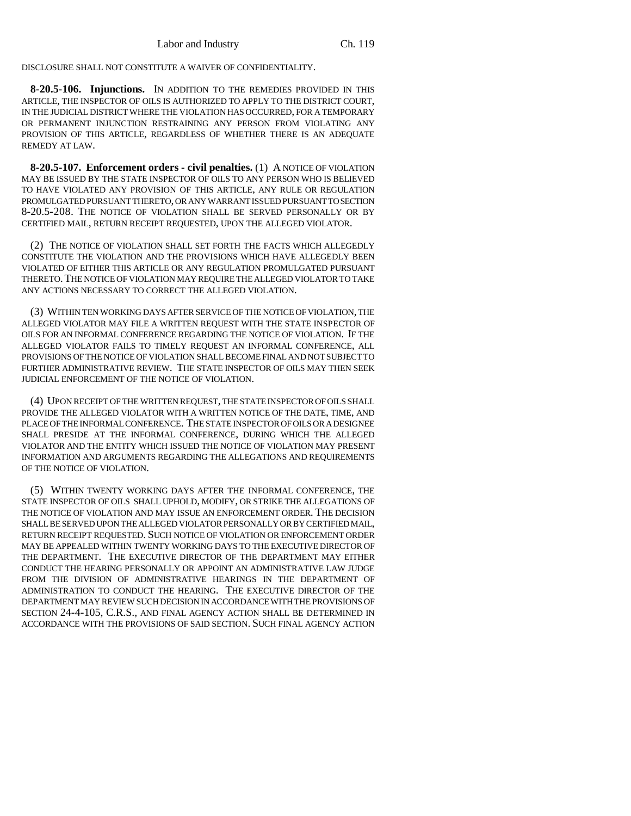DISCLOSURE SHALL NOT CONSTITUTE A WAIVER OF CONFIDENTIALITY.

**8-20.5-106. Injunctions.** IN ADDITION TO THE REMEDIES PROVIDED IN THIS ARTICLE, THE INSPECTOR OF OILS IS AUTHORIZED TO APPLY TO THE DISTRICT COURT, IN THE JUDICIAL DISTRICT WHERE THE VIOLATION HAS OCCURRED, FOR A TEMPORARY OR PERMANENT INJUNCTION RESTRAINING ANY PERSON FROM VIOLATING ANY PROVISION OF THIS ARTICLE, REGARDLESS OF WHETHER THERE IS AN ADEQUATE REMEDY AT LAW.

**8-20.5-107. Enforcement orders - civil penalties.** (1) A NOTICE OF VIOLATION MAY BE ISSUED BY THE STATE INSPECTOR OF OILS TO ANY PERSON WHO IS BELIEVED TO HAVE VIOLATED ANY PROVISION OF THIS ARTICLE, ANY RULE OR REGULATION PROMULGATED PURSUANT THERETO, OR ANY WARRANT ISSUED PURSUANT TO SECTION 8-20.5-208. THE NOTICE OF VIOLATION SHALL BE SERVED PERSONALLY OR BY CERTIFIED MAIL, RETURN RECEIPT REQUESTED, UPON THE ALLEGED VIOLATOR.

(2) THE NOTICE OF VIOLATION SHALL SET FORTH THE FACTS WHICH ALLEGEDLY CONSTITUTE THE VIOLATION AND THE PROVISIONS WHICH HAVE ALLEGEDLY BEEN VIOLATED OF EITHER THIS ARTICLE OR ANY REGULATION PROMULGATED PURSUANT THERETO.THE NOTICE OF VIOLATION MAY REQUIRE THE ALLEGED VIOLATOR TO TAKE ANY ACTIONS NECESSARY TO CORRECT THE ALLEGED VIOLATION.

(3) WITHIN TEN WORKING DAYS AFTER SERVICE OF THE NOTICE OF VIOLATION, THE ALLEGED VIOLATOR MAY FILE A WRITTEN REQUEST WITH THE STATE INSPECTOR OF OILS FOR AN INFORMAL CONFERENCE REGARDING THE NOTICE OF VIOLATION. IF THE ALLEGED VIOLATOR FAILS TO TIMELY REQUEST AN INFORMAL CONFERENCE, ALL PROVISIONS OF THE NOTICE OF VIOLATION SHALL BECOME FINAL AND NOT SUBJECT TO FURTHER ADMINISTRATIVE REVIEW. THE STATE INSPECTOR OF OILS MAY THEN SEEK JUDICIAL ENFORCEMENT OF THE NOTICE OF VIOLATION.

(4) UPON RECEIPT OF THE WRITTEN REQUEST, THE STATE INSPECTOR OF OILS SHALL PROVIDE THE ALLEGED VIOLATOR WITH A WRITTEN NOTICE OF THE DATE, TIME, AND PLACE OF THE INFORMAL CONFERENCE. THE STATE INSPECTOR OF OILS OR A DESIGNEE SHALL PRESIDE AT THE INFORMAL CONFERENCE, DURING WHICH THE ALLEGED VIOLATOR AND THE ENTITY WHICH ISSUED THE NOTICE OF VIOLATION MAY PRESENT INFORMATION AND ARGUMENTS REGARDING THE ALLEGATIONS AND REQUIREMENTS OF THE NOTICE OF VIOLATION.

(5) WITHIN TWENTY WORKING DAYS AFTER THE INFORMAL CONFERENCE, THE STATE INSPECTOR OF OILS SHALL UPHOLD, MODIFY, OR STRIKE THE ALLEGATIONS OF THE NOTICE OF VIOLATION AND MAY ISSUE AN ENFORCEMENT ORDER. THE DECISION SHALL BE SERVED UPON THE ALLEGED VIOLATOR PERSONALLY OR BY CERTIFIED MAIL, RETURN RECEIPT REQUESTED. SUCH NOTICE OF VIOLATION OR ENFORCEMENT ORDER MAY BE APPEALED WITHIN TWENTY WORKING DAYS TO THE EXECUTIVE DIRECTOR OF THE DEPARTMENT. THE EXECUTIVE DIRECTOR OF THE DEPARTMENT MAY EITHER CONDUCT THE HEARING PERSONALLY OR APPOINT AN ADMINISTRATIVE LAW JUDGE FROM THE DIVISION OF ADMINISTRATIVE HEARINGS IN THE DEPARTMENT OF ADMINISTRATION TO CONDUCT THE HEARING. THE EXECUTIVE DIRECTOR OF THE DEPARTMENT MAY REVIEW SUCH DECISION IN ACCORDANCE WITH THE PROVISIONS OF SECTION 24-4-105, C.R.S., AND FINAL AGENCY ACTION SHALL BE DETERMINED IN ACCORDANCE WITH THE PROVISIONS OF SAID SECTION. SUCH FINAL AGENCY ACTION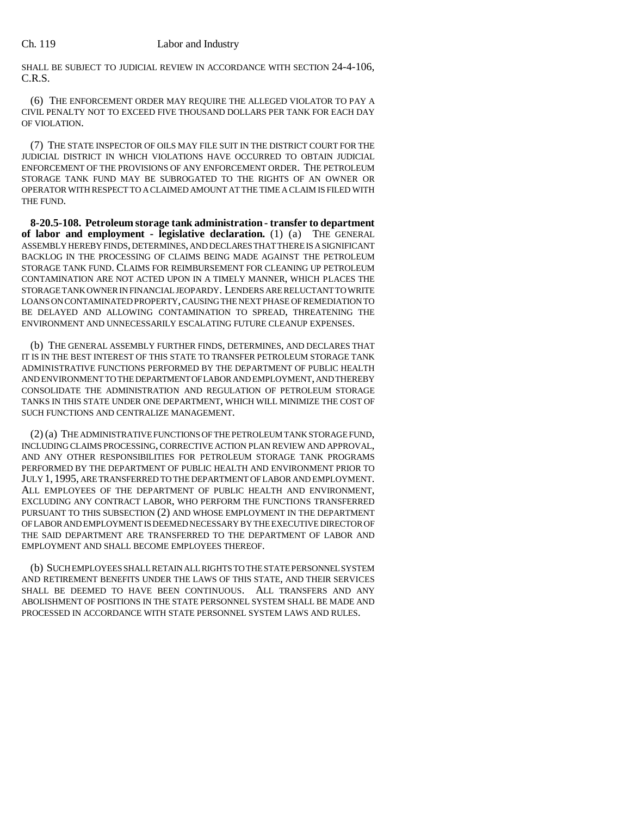SHALL BE SUBJECT TO JUDICIAL REVIEW IN ACCORDANCE WITH SECTION 24-4-106, C.R.S.

(6) THE ENFORCEMENT ORDER MAY REQUIRE THE ALLEGED VIOLATOR TO PAY A CIVIL PENALTY NOT TO EXCEED FIVE THOUSAND DOLLARS PER TANK FOR EACH DAY OF VIOLATION.

(7) THE STATE INSPECTOR OF OILS MAY FILE SUIT IN THE DISTRICT COURT FOR THE JUDICIAL DISTRICT IN WHICH VIOLATIONS HAVE OCCURRED TO OBTAIN JUDICIAL ENFORCEMENT OF THE PROVISIONS OF ANY ENFORCEMENT ORDER. THE PETROLEUM STORAGE TANK FUND MAY BE SUBROGATED TO THE RIGHTS OF AN OWNER OR OPERATOR WITH RESPECT TO A CLAIMED AMOUNT AT THE TIME A CLAIM IS FILED WITH THE FUND.

**8-20.5-108. Petroleum storage tank administration - transfer to department of labor and employment - legislative declaration.** (1) (a) THE GENERAL ASSEMBLY HEREBY FINDS, DETERMINES, AND DECLARES THAT THERE IS A SIGNIFICANT BACKLOG IN THE PROCESSING OF CLAIMS BEING MADE AGAINST THE PETROLEUM STORAGE TANK FUND. CLAIMS FOR REIMBURSEMENT FOR CLEANING UP PETROLEUM CONTAMINATION ARE NOT ACTED UPON IN A TIMELY MANNER, WHICH PLACES THE STORAGE TANK OWNER IN FINANCIAL JEOPARDY. LENDERS ARE RELUCTANT TO WRITE LOANS ON CONTAMINATED PROPERTY, CAUSING THE NEXT PHASE OF REMEDIATION TO BE DELAYED AND ALLOWING CONTAMINATION TO SPREAD, THREATENING THE ENVIRONMENT AND UNNECESSARILY ESCALATING FUTURE CLEANUP EXPENSES.

(b) THE GENERAL ASSEMBLY FURTHER FINDS, DETERMINES, AND DECLARES THAT IT IS IN THE BEST INTEREST OF THIS STATE TO TRANSFER PETROLEUM STORAGE TANK ADMINISTRATIVE FUNCTIONS PERFORMED BY THE DEPARTMENT OF PUBLIC HEALTH AND ENVIRONMENT TO THE DEPARTMENT OF LABOR AND EMPLOYMENT, AND THEREBY CONSOLIDATE THE ADMINISTRATION AND REGULATION OF PETROLEUM STORAGE TANKS IN THIS STATE UNDER ONE DEPARTMENT, WHICH WILL MINIMIZE THE COST OF SUCH FUNCTIONS AND CENTRALIZE MANAGEMENT.

(2) (a) THE ADMINISTRATIVE FUNCTIONS OF THE PETROLEUM TANK STORAGE FUND, INCLUDING CLAIMS PROCESSING, CORRECTIVE ACTION PLAN REVIEW AND APPROVAL, AND ANY OTHER RESPONSIBILITIES FOR PETROLEUM STORAGE TANK PROGRAMS PERFORMED BY THE DEPARTMENT OF PUBLIC HEALTH AND ENVIRONMENT PRIOR TO JULY 1, 1995, ARE TRANSFERRED TO THE DEPARTMENT OF LABOR AND EMPLOYMENT. ALL EMPLOYEES OF THE DEPARTMENT OF PUBLIC HEALTH AND ENVIRONMENT, EXCLUDING ANY CONTRACT LABOR, WHO PERFORM THE FUNCTIONS TRANSFERRED PURSUANT TO THIS SUBSECTION (2) AND WHOSE EMPLOYMENT IN THE DEPARTMENT OF LABOR AND EMPLOYMENT IS DEEMED NECESSARY BY THE EXECUTIVE DIRECTOR OF THE SAID DEPARTMENT ARE TRANSFERRED TO THE DEPARTMENT OF LABOR AND EMPLOYMENT AND SHALL BECOME EMPLOYEES THEREOF.

(b) SUCH EMPLOYEES SHALL RETAIN ALL RIGHTS TO THE STATE PERSONNEL SYSTEM AND RETIREMENT BENEFITS UNDER THE LAWS OF THIS STATE, AND THEIR SERVICES SHALL BE DEEMED TO HAVE BEEN CONTINUOUS. ALL TRANSFERS AND ANY ABOLISHMENT OF POSITIONS IN THE STATE PERSONNEL SYSTEM SHALL BE MADE AND PROCESSED IN ACCORDANCE WITH STATE PERSONNEL SYSTEM LAWS AND RULES.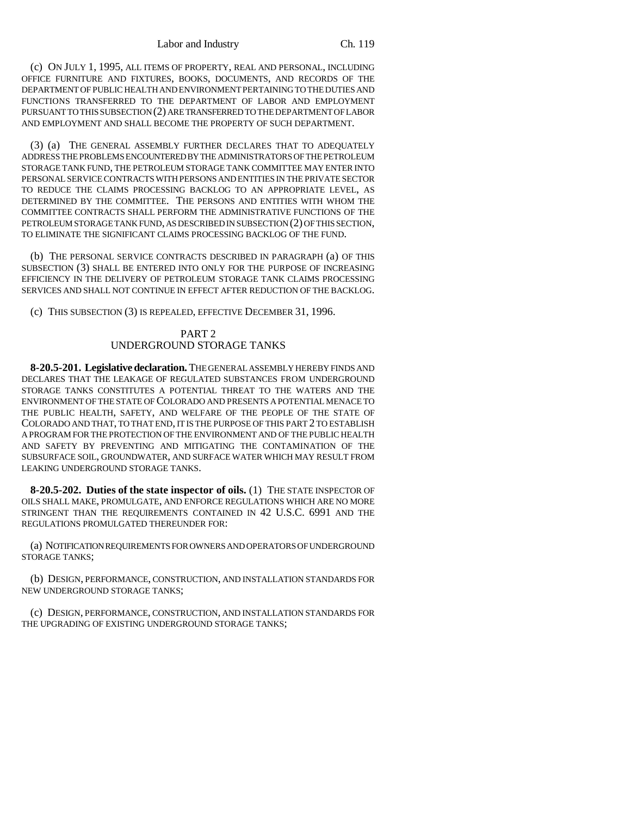(c) ON JULY 1, 1995, ALL ITEMS OF PROPERTY, REAL AND PERSONAL, INCLUDING OFFICE FURNITURE AND FIXTURES, BOOKS, DOCUMENTS, AND RECORDS OF THE DEPARTMENT OF PUBLIC HEALTH AND ENVIRONMENT PERTAINING TO THE DUTIES AND FUNCTIONS TRANSFERRED TO THE DEPARTMENT OF LABOR AND EMPLOYMENT PURSUANT TO THIS SUBSECTION (2) ARE TRANSFERRED TO THE DEPARTMENT OF LABOR AND EMPLOYMENT AND SHALL BECOME THE PROPERTY OF SUCH DEPARTMENT.

(3) (a) THE GENERAL ASSEMBLY FURTHER DECLARES THAT TO ADEQUATELY ADDRESS THE PROBLEMS ENCOUNTERED BY THE ADMINISTRATORS OF THE PETROLEUM STORAGE TANK FUND, THE PETROLEUM STORAGE TANK COMMITTEE MAY ENTER INTO PERSONAL SERVICE CONTRACTS WITH PERSONS AND ENTITIES IN THE PRIVATE SECTOR TO REDUCE THE CLAIMS PROCESSING BACKLOG TO AN APPROPRIATE LEVEL, AS DETERMINED BY THE COMMITTEE. THE PERSONS AND ENTITIES WITH WHOM THE COMMITTEE CONTRACTS SHALL PERFORM THE ADMINISTRATIVE FUNCTIONS OF THE PETROLEUM STORAGE TANK FUND, AS DESCRIBED IN SUBSECTION (2) OF THIS SECTION, TO ELIMINATE THE SIGNIFICANT CLAIMS PROCESSING BACKLOG OF THE FUND.

(b) THE PERSONAL SERVICE CONTRACTS DESCRIBED IN PARAGRAPH (a) OF THIS SUBSECTION (3) SHALL BE ENTERED INTO ONLY FOR THE PURPOSE OF INCREASING EFFICIENCY IN THE DELIVERY OF PETROLEUM STORAGE TANK CLAIMS PROCESSING SERVICES AND SHALL NOT CONTINUE IN EFFECT AFTER REDUCTION OF THE BACKLOG.

(c) THIS SUBSECTION (3) IS REPEALED, EFFECTIVE DECEMBER 31, 1996.

#### PART 2 UNDERGROUND STORAGE TANKS

**8-20.5-201. Legislative declaration.** THE GENERAL ASSEMBLY HEREBY FINDS AND DECLARES THAT THE LEAKAGE OF REGULATED SUBSTANCES FROM UNDERGROUND STORAGE TANKS CONSTITUTES A POTENTIAL THREAT TO THE WATERS AND THE ENVIRONMENT OF THE STATE OF COLORADO AND PRESENTS A POTENTIAL MENACE TO THE PUBLIC HEALTH, SAFETY, AND WELFARE OF THE PEOPLE OF THE STATE OF COLORADO AND THAT, TO THAT END, IT IS THE PURPOSE OF THIS PART 2 TO ESTABLISH A PROGRAM FOR THE PROTECTION OF THE ENVIRONMENT AND OF THE PUBLIC HEALTH AND SAFETY BY PREVENTING AND MITIGATING THE CONTAMINATION OF THE SUBSURFACE SOIL, GROUNDWATER, AND SURFACE WATER WHICH MAY RESULT FROM LEAKING UNDERGROUND STORAGE TANKS.

**8-20.5-202. Duties of the state inspector of oils.** (1) THE STATE INSPECTOR OF OILS SHALL MAKE, PROMULGATE, AND ENFORCE REGULATIONS WHICH ARE NO MORE STRINGENT THAN THE REQUIREMENTS CONTAINED IN 42 U.S.C. 6991 AND THE REGULATIONS PROMULGATED THEREUNDER FOR:

(a) NOTIFICATION REQUIREMENTS FOR OWNERS AND OPERATORS OF UNDERGROUND STORAGE TANKS;

(b) DESIGN, PERFORMANCE, CONSTRUCTION, AND INSTALLATION STANDARDS FOR NEW UNDERGROUND STORAGE TANKS;

(c) DESIGN, PERFORMANCE, CONSTRUCTION, AND INSTALLATION STANDARDS FOR THE UPGRADING OF EXISTING UNDERGROUND STORAGE TANKS;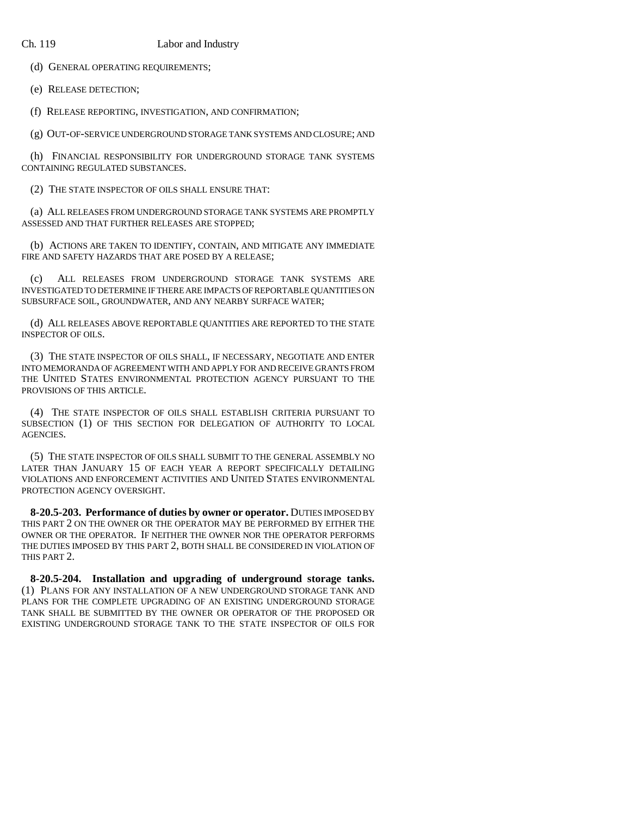(d) GENERAL OPERATING REQUIREMENTS;

(e) RELEASE DETECTION;

(f) RELEASE REPORTING, INVESTIGATION, AND CONFIRMATION;

(g) OUT-OF-SERVICE UNDERGROUND STORAGE TANK SYSTEMS AND CLOSURE; AND

(h) FINANCIAL RESPONSIBILITY FOR UNDERGROUND STORAGE TANK SYSTEMS CONTAINING REGULATED SUBSTANCES.

(2) THE STATE INSPECTOR OF OILS SHALL ENSURE THAT:

(a) ALL RELEASES FROM UNDERGROUND STORAGE TANK SYSTEMS ARE PROMPTLY ASSESSED AND THAT FURTHER RELEASES ARE STOPPED;

(b) ACTIONS ARE TAKEN TO IDENTIFY, CONTAIN, AND MITIGATE ANY IMMEDIATE FIRE AND SAFETY HAZARDS THAT ARE POSED BY A RELEASE;

(c) ALL RELEASES FROM UNDERGROUND STORAGE TANK SYSTEMS ARE INVESTIGATED TO DETERMINE IF THERE ARE IMPACTS OF REPORTABLE QUANTITIES ON SUBSURFACE SOIL, GROUNDWATER, AND ANY NEARBY SURFACE WATER;

(d) ALL RELEASES ABOVE REPORTABLE QUANTITIES ARE REPORTED TO THE STATE INSPECTOR OF OILS.

(3) THE STATE INSPECTOR OF OILS SHALL, IF NECESSARY, NEGOTIATE AND ENTER INTO MEMORANDA OF AGREEMENT WITH AND APPLY FOR AND RECEIVE GRANTS FROM THE UNITED STATES ENVIRONMENTAL PROTECTION AGENCY PURSUANT TO THE PROVISIONS OF THIS ARTICLE.

(4) THE STATE INSPECTOR OF OILS SHALL ESTABLISH CRITERIA PURSUANT TO SUBSECTION (1) OF THIS SECTION FOR DELEGATION OF AUTHORITY TO LOCAL AGENCIES.

(5) THE STATE INSPECTOR OF OILS SHALL SUBMIT TO THE GENERAL ASSEMBLY NO LATER THAN JANUARY 15 OF EACH YEAR A REPORT SPECIFICALLY DETAILING VIOLATIONS AND ENFORCEMENT ACTIVITIES AND UNITED STATES ENVIRONMENTAL PROTECTION AGENCY OVERSIGHT.

**8-20.5-203. Performance of duties by owner or operator.** DUTIES IMPOSED BY THIS PART 2 ON THE OWNER OR THE OPERATOR MAY BE PERFORMED BY EITHER THE OWNER OR THE OPERATOR. IF NEITHER THE OWNER NOR THE OPERATOR PERFORMS THE DUTIES IMPOSED BY THIS PART 2, BOTH SHALL BE CONSIDERED IN VIOLATION OF THIS PART 2.

**8-20.5-204. Installation and upgrading of underground storage tanks.** (1) PLANS FOR ANY INSTALLATION OF A NEW UNDERGROUND STORAGE TANK AND PLANS FOR THE COMPLETE UPGRADING OF AN EXISTING UNDERGROUND STORAGE TANK SHALL BE SUBMITTED BY THE OWNER OR OPERATOR OF THE PROPOSED OR EXISTING UNDERGROUND STORAGE TANK TO THE STATE INSPECTOR OF OILS FOR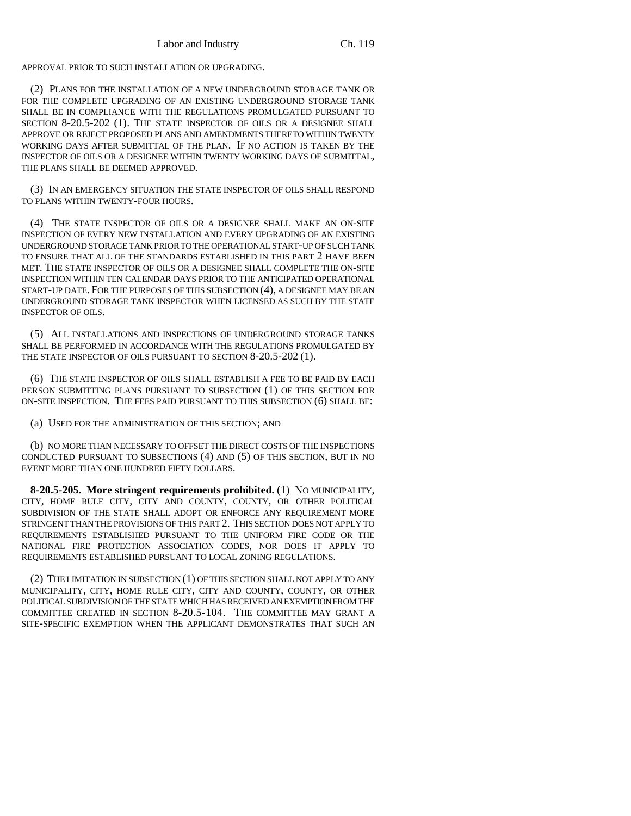APPROVAL PRIOR TO SUCH INSTALLATION OR UPGRADING.

(2) PLANS FOR THE INSTALLATION OF A NEW UNDERGROUND STORAGE TANK OR FOR THE COMPLETE UPGRADING OF AN EXISTING UNDERGROUND STORAGE TANK SHALL BE IN COMPLIANCE WITH THE REGULATIONS PROMULGATED PURSUANT TO SECTION 8-20.5-202 (1). THE STATE INSPECTOR OF OILS OR A DESIGNEE SHALL APPROVE OR REJECT PROPOSED PLANS AND AMENDMENTS THERETO WITHIN TWENTY WORKING DAYS AFTER SUBMITTAL OF THE PLAN. IF NO ACTION IS TAKEN BY THE INSPECTOR OF OILS OR A DESIGNEE WITHIN TWENTY WORKING DAYS OF SUBMITTAL, THE PLANS SHALL BE DEEMED APPROVED.

(3) IN AN EMERGENCY SITUATION THE STATE INSPECTOR OF OILS SHALL RESPOND TO PLANS WITHIN TWENTY-FOUR HOURS.

(4) THE STATE INSPECTOR OF OILS OR A DESIGNEE SHALL MAKE AN ON-SITE INSPECTION OF EVERY NEW INSTALLATION AND EVERY UPGRADING OF AN EXISTING UNDERGROUND STORAGE TANK PRIOR TO THE OPERATIONAL START-UP OF SUCH TANK TO ENSURE THAT ALL OF THE STANDARDS ESTABLISHED IN THIS PART 2 HAVE BEEN MET. THE STATE INSPECTOR OF OILS OR A DESIGNEE SHALL COMPLETE THE ON-SITE INSPECTION WITHIN TEN CALENDAR DAYS PRIOR TO THE ANTICIPATED OPERATIONAL START-UP DATE. FOR THE PURPOSES OF THIS SUBSECTION (4), A DESIGNEE MAY BE AN UNDERGROUND STORAGE TANK INSPECTOR WHEN LICENSED AS SUCH BY THE STATE INSPECTOR OF OILS.

(5) ALL INSTALLATIONS AND INSPECTIONS OF UNDERGROUND STORAGE TANKS SHALL BE PERFORMED IN ACCORDANCE WITH THE REGULATIONS PROMULGATED BY THE STATE INSPECTOR OF OILS PURSUANT TO SECTION 8-20.5-202 (1).

(6) THE STATE INSPECTOR OF OILS SHALL ESTABLISH A FEE TO BE PAID BY EACH PERSON SUBMITTING PLANS PURSUANT TO SUBSECTION (1) OF THIS SECTION FOR ON-SITE INSPECTION. THE FEES PAID PURSUANT TO THIS SUBSECTION (6) SHALL BE:

(a) USED FOR THE ADMINISTRATION OF THIS SECTION; AND

(b) NO MORE THAN NECESSARY TO OFFSET THE DIRECT COSTS OF THE INSPECTIONS CONDUCTED PURSUANT TO SUBSECTIONS (4) AND (5) OF THIS SECTION, BUT IN NO EVENT MORE THAN ONE HUNDRED FIFTY DOLLARS.

**8-20.5-205. More stringent requirements prohibited.** (1) NO MUNICIPALITY, CITY, HOME RULE CITY, CITY AND COUNTY, COUNTY, OR OTHER POLITICAL SUBDIVISION OF THE STATE SHALL ADOPT OR ENFORCE ANY REQUIREMENT MORE STRINGENT THAN THE PROVISIONS OF THIS PART 2. THIS SECTION DOES NOT APPLY TO REQUIREMENTS ESTABLISHED PURSUANT TO THE UNIFORM FIRE CODE OR THE NATIONAL FIRE PROTECTION ASSOCIATION CODES, NOR DOES IT APPLY TO REQUIREMENTS ESTABLISHED PURSUANT TO LOCAL ZONING REGULATIONS.

(2) THE LIMITATION IN SUBSECTION (1) OF THIS SECTION SHALL NOT APPLY TO ANY MUNICIPALITY, CITY, HOME RULE CITY, CITY AND COUNTY, COUNTY, OR OTHER POLITICAL SUBDIVISION OF THE STATE WHICH HAS RECEIVED AN EXEMPTION FROM THE COMMITTEE CREATED IN SECTION 8-20.5-104. THE COMMITTEE MAY GRANT A SITE-SPECIFIC EXEMPTION WHEN THE APPLICANT DEMONSTRATES THAT SUCH AN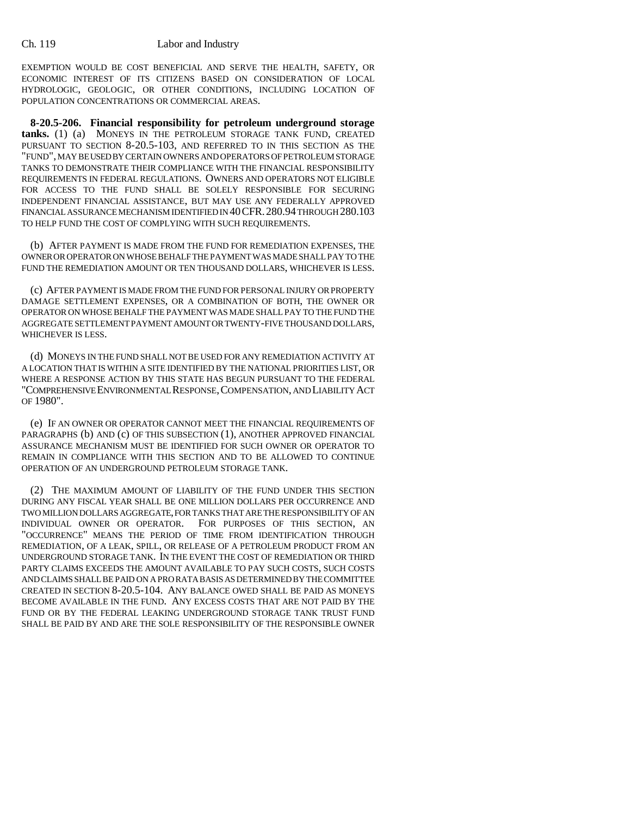EXEMPTION WOULD BE COST BENEFICIAL AND SERVE THE HEALTH, SAFETY, OR ECONOMIC INTEREST OF ITS CITIZENS BASED ON CONSIDERATION OF LOCAL HYDROLOGIC, GEOLOGIC, OR OTHER CONDITIONS, INCLUDING LOCATION OF POPULATION CONCENTRATIONS OR COMMERCIAL AREAS.

**8-20.5-206. Financial responsibility for petroleum underground storage tanks.** (1) (a) MONEYS IN THE PETROLEUM STORAGE TANK FUND, CREATED PURSUANT TO SECTION 8-20.5-103, AND REFERRED TO IN THIS SECTION AS THE "FUND", MAY BE USED BY CERTAIN OWNERS AND OPERATORS OF PETROLEUM STORAGE TANKS TO DEMONSTRATE THEIR COMPLIANCE WITH THE FINANCIAL RESPONSIBILITY REQUIREMENTS IN FEDERAL REGULATIONS. OWNERS AND OPERATORS NOT ELIGIBLE FOR ACCESS TO THE FUND SHALL BE SOLELY RESPONSIBLE FOR SECURING INDEPENDENT FINANCIAL ASSISTANCE, BUT MAY USE ANY FEDERALLY APPROVED FINANCIAL ASSURANCE MECHANISM IDENTIFIED IN 40CFR.280.94 THROUGH 280.103 TO HELP FUND THE COST OF COMPLYING WITH SUCH REQUIREMENTS.

(b) AFTER PAYMENT IS MADE FROM THE FUND FOR REMEDIATION EXPENSES, THE OWNER OR OPERATOR ON WHOSE BEHALF THE PAYMENT WAS MADE SHALL PAY TO THE FUND THE REMEDIATION AMOUNT OR TEN THOUSAND DOLLARS, WHICHEVER IS LESS.

(c) AFTER PAYMENT IS MADE FROM THE FUND FOR PERSONAL INJURY OR PROPERTY DAMAGE SETTLEMENT EXPENSES, OR A COMBINATION OF BOTH, THE OWNER OR OPERATOR ON WHOSE BEHALF THE PAYMENT WAS MADE SHALL PAY TO THE FUND THE AGGREGATE SETTLEMENT PAYMENT AMOUNT OR TWENTY-FIVE THOUSAND DOLLARS, WHICHEVER IS LESS.

(d) MONEYS IN THE FUND SHALL NOT BE USED FOR ANY REMEDIATION ACTIVITY AT A LOCATION THAT IS WITHIN A SITE IDENTIFIED BY THE NATIONAL PRIORITIES LIST, OR WHERE A RESPONSE ACTION BY THIS STATE HAS BEGUN PURSUANT TO THE FEDERAL "COMPREHENSIVE ENVIRONMENTAL RESPONSE,COMPENSATION, AND LIABILITY ACT OF 1980".

(e) IF AN OWNER OR OPERATOR CANNOT MEET THE FINANCIAL REQUIREMENTS OF PARAGRAPHS (b) AND (c) OF THIS SUBSECTION (1), ANOTHER APPROVED FINANCIAL ASSURANCE MECHANISM MUST BE IDENTIFIED FOR SUCH OWNER OR OPERATOR TO REMAIN IN COMPLIANCE WITH THIS SECTION AND TO BE ALLOWED TO CONTINUE OPERATION OF AN UNDERGROUND PETROLEUM STORAGE TANK.

(2) THE MAXIMUM AMOUNT OF LIABILITY OF THE FUND UNDER THIS SECTION DURING ANY FISCAL YEAR SHALL BE ONE MILLION DOLLARS PER OCCURRENCE AND TWO MILLION DOLLARS AGGREGATE, FOR TANKS THAT ARE THE RESPONSIBILITY OF AN INDIVIDUAL OWNER OR OPERATOR. FOR PURPOSES OF THIS SECTION, AN "OCCURRENCE" MEANS THE PERIOD OF TIME FROM IDENTIFICATION THROUGH REMEDIATION, OF A LEAK, SPILL, OR RELEASE OF A PETROLEUM PRODUCT FROM AN UNDERGROUND STORAGE TANK. IN THE EVENT THE COST OF REMEDIATION OR THIRD PARTY CLAIMS EXCEEDS THE AMOUNT AVAILABLE TO PAY SUCH COSTS, SUCH COSTS AND CLAIMS SHALL BE PAID ON A PRO RATA BASIS AS DETERMINED BY THE COMMITTEE CREATED IN SECTION 8-20.5-104. ANY BALANCE OWED SHALL BE PAID AS MONEYS BECOME AVAILABLE IN THE FUND. ANY EXCESS COSTS THAT ARE NOT PAID BY THE FUND OR BY THE FEDERAL LEAKING UNDERGROUND STORAGE TANK TRUST FUND SHALL BE PAID BY AND ARE THE SOLE RESPONSIBILITY OF THE RESPONSIBLE OWNER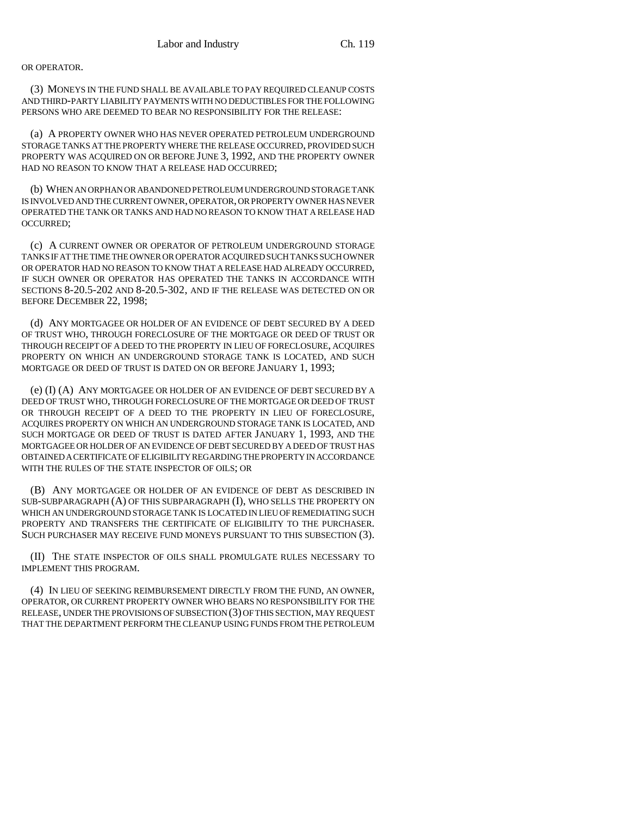#### OR OPERATOR.

(3) MONEYS IN THE FUND SHALL BE AVAILABLE TO PAY REQUIRED CLEANUP COSTS AND THIRD-PARTY LIABILITY PAYMENTS WITH NO DEDUCTIBLES FOR THE FOLLOWING PERSONS WHO ARE DEEMED TO BEAR NO RESPONSIBILITY FOR THE RELEASE:

(a) A PROPERTY OWNER WHO HAS NEVER OPERATED PETROLEUM UNDERGROUND STORAGE TANKS AT THE PROPERTY WHERE THE RELEASE OCCURRED, PROVIDED SUCH PROPERTY WAS ACQUIRED ON OR BEFORE JUNE 3, 1992, AND THE PROPERTY OWNER HAD NO REASON TO KNOW THAT A RELEASE HAD OCCURRED;

(b) WHEN AN ORPHAN OR ABANDONED PETROLEUM UNDERGROUND STORAGE TANK IS INVOLVED AND THE CURRENT OWNER, OPERATOR, OR PROPERTY OWNER HAS NEVER OPERATED THE TANK OR TANKS AND HAD NO REASON TO KNOW THAT A RELEASE HAD OCCURRED;

(c) A CURRENT OWNER OR OPERATOR OF PETROLEUM UNDERGROUND STORAGE TANKS IF AT THE TIME THE OWNER OR OPERATOR ACQUIRED SUCH TANKS SUCH OWNER OR OPERATOR HAD NO REASON TO KNOW THAT A RELEASE HAD ALREADY OCCURRED, IF SUCH OWNER OR OPERATOR HAS OPERATED THE TANKS IN ACCORDANCE WITH SECTIONS 8-20.5-202 AND 8-20.5-302, AND IF THE RELEASE WAS DETECTED ON OR BEFORE DECEMBER 22, 1998;

(d) ANY MORTGAGEE OR HOLDER OF AN EVIDENCE OF DEBT SECURED BY A DEED OF TRUST WHO, THROUGH FORECLOSURE OF THE MORTGAGE OR DEED OF TRUST OR THROUGH RECEIPT OF A DEED TO THE PROPERTY IN LIEU OF FORECLOSURE, ACQUIRES PROPERTY ON WHICH AN UNDERGROUND STORAGE TANK IS LOCATED, AND SUCH MORTGAGE OR DEED OF TRUST IS DATED ON OR BEFORE JANUARY 1, 1993;

(e) (I) (A) ANY MORTGAGEE OR HOLDER OF AN EVIDENCE OF DEBT SECURED BY A DEED OF TRUST WHO, THROUGH FORECLOSURE OF THE MORTGAGE OR DEED OF TRUST OR THROUGH RECEIPT OF A DEED TO THE PROPERTY IN LIEU OF FORECLOSURE, ACQUIRES PROPERTY ON WHICH AN UNDERGROUND STORAGE TANK IS LOCATED, AND SUCH MORTGAGE OR DEED OF TRUST IS DATED AFTER JANUARY 1, 1993, AND THE MORTGAGEE OR HOLDER OF AN EVIDENCE OF DEBT SECURED BY A DEED OF TRUST HAS OBTAINED A CERTIFICATE OF ELIGIBILITY REGARDING THE PROPERTY IN ACCORDANCE WITH THE RULES OF THE STATE INSPECTOR OF OILS; OR

(B) ANY MORTGAGEE OR HOLDER OF AN EVIDENCE OF DEBT AS DESCRIBED IN SUB-SUBPARAGRAPH (A) OF THIS SUBPARAGRAPH (I), WHO SELLS THE PROPERTY ON WHICH AN UNDERGROUND STORAGE TANK IS LOCATED IN LIEU OF REMEDIATING SUCH PROPERTY AND TRANSFERS THE CERTIFICATE OF ELIGIBILITY TO THE PURCHASER. SUCH PURCHASER MAY RECEIVE FUND MONEYS PURSUANT TO THIS SUBSECTION (3).

(II) THE STATE INSPECTOR OF OILS SHALL PROMULGATE RULES NECESSARY TO IMPLEMENT THIS PROGRAM.

(4) IN LIEU OF SEEKING REIMBURSEMENT DIRECTLY FROM THE FUND, AN OWNER, OPERATOR, OR CURRENT PROPERTY OWNER WHO BEARS NO RESPONSIBILITY FOR THE RELEASE, UNDER THE PROVISIONS OF SUBSECTION (3) OF THIS SECTION, MAY REQUEST THAT THE DEPARTMENT PERFORM THE CLEANUP USING FUNDS FROM THE PETROLEUM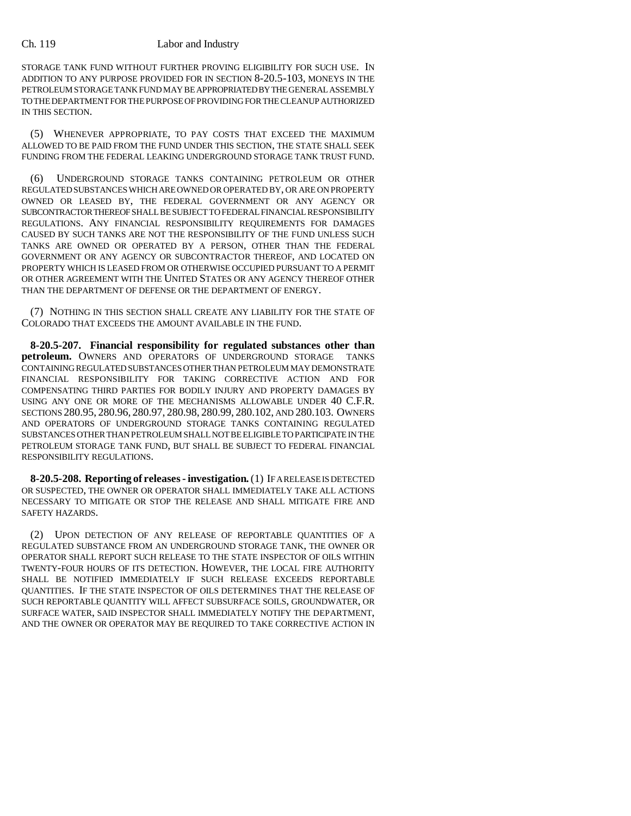STORAGE TANK FUND WITHOUT FURTHER PROVING ELIGIBILITY FOR SUCH USE. IN ADDITION TO ANY PURPOSE PROVIDED FOR IN SECTION 8-20.5-103, MONEYS IN THE PETROLEUM STORAGE TANK FUND MAY BE APPROPRIATED BY THE GENERAL ASSEMBLY TO THE DEPARTMENT FOR THE PURPOSE OF PROVIDING FOR THE CLEANUP AUTHORIZED IN THIS SECTION.

(5) WHENEVER APPROPRIATE, TO PAY COSTS THAT EXCEED THE MAXIMUM ALLOWED TO BE PAID FROM THE FUND UNDER THIS SECTION, THE STATE SHALL SEEK FUNDING FROM THE FEDERAL LEAKING UNDERGROUND STORAGE TANK TRUST FUND.

(6) UNDERGROUND STORAGE TANKS CONTAINING PETROLEUM OR OTHER REGULATED SUBSTANCES WHICH ARE OWNED OR OPERATED BY, OR ARE ON PROPERTY OWNED OR LEASED BY, THE FEDERAL GOVERNMENT OR ANY AGENCY OR SUBCONTRACTOR THEREOF SHALL BE SUBJECT TO FEDERAL FINANCIAL RESPONSIBILITY REGULATIONS. ANY FINANCIAL RESPONSIBILITY REQUIREMENTS FOR DAMAGES CAUSED BY SUCH TANKS ARE NOT THE RESPONSIBILITY OF THE FUND UNLESS SUCH TANKS ARE OWNED OR OPERATED BY A PERSON, OTHER THAN THE FEDERAL GOVERNMENT OR ANY AGENCY OR SUBCONTRACTOR THEREOF, AND LOCATED ON PROPERTY WHICH IS LEASED FROM OR OTHERWISE OCCUPIED PURSUANT TO A PERMIT OR OTHER AGREEMENT WITH THE UNITED STATES OR ANY AGENCY THEREOF OTHER THAN THE DEPARTMENT OF DEFENSE OR THE DEPARTMENT OF ENERGY.

(7) NOTHING IN THIS SECTION SHALL CREATE ANY LIABILITY FOR THE STATE OF COLORADO THAT EXCEEDS THE AMOUNT AVAILABLE IN THE FUND.

**8-20.5-207. Financial responsibility for regulated substances other than petroleum.** OWNERS AND OPERATORS OF UNDERGROUND STORAGE TANKS CONTAINING REGULATED SUBSTANCES OTHER THAN PETROLEUM MAY DEMONSTRATE FINANCIAL RESPONSIBILITY FOR TAKING CORRECTIVE ACTION AND FOR COMPENSATING THIRD PARTIES FOR BODILY INJURY AND PROPERTY DAMAGES BY USING ANY ONE OR MORE OF THE MECHANISMS ALLOWABLE UNDER 40 C.F.R. SECTIONS 280.95, 280.96, 280.97, 280.98, 280.99, 280.102, AND 280.103. OWNERS AND OPERATORS OF UNDERGROUND STORAGE TANKS CONTAINING REGULATED SUBSTANCES OTHER THAN PETROLEUM SHALL NOT BE ELIGIBLE TO PARTICIPATE IN THE PETROLEUM STORAGE TANK FUND, BUT SHALL BE SUBJECT TO FEDERAL FINANCIAL RESPONSIBILITY REGULATIONS.

**8-20.5-208. Reporting of releases - investigation.** (1) IF A RELEASE IS DETECTED OR SUSPECTED, THE OWNER OR OPERATOR SHALL IMMEDIATELY TAKE ALL ACTIONS NECESSARY TO MITIGATE OR STOP THE RELEASE AND SHALL MITIGATE FIRE AND SAFETY HAZARDS.

(2) UPON DETECTION OF ANY RELEASE OF REPORTABLE QUANTITIES OF A REGULATED SUBSTANCE FROM AN UNDERGROUND STORAGE TANK, THE OWNER OR OPERATOR SHALL REPORT SUCH RELEASE TO THE STATE INSPECTOR OF OILS WITHIN TWENTY-FOUR HOURS OF ITS DETECTION. HOWEVER, THE LOCAL FIRE AUTHORITY SHALL BE NOTIFIED IMMEDIATELY IF SUCH RELEASE EXCEEDS REPORTABLE QUANTITIES. IF THE STATE INSPECTOR OF OILS DETERMINES THAT THE RELEASE OF SUCH REPORTABLE QUANTITY WILL AFFECT SUBSURFACE SOILS, GROUNDWATER, OR SURFACE WATER, SAID INSPECTOR SHALL IMMEDIATELY NOTIFY THE DEPARTMENT, AND THE OWNER OR OPERATOR MAY BE REQUIRED TO TAKE CORRECTIVE ACTION IN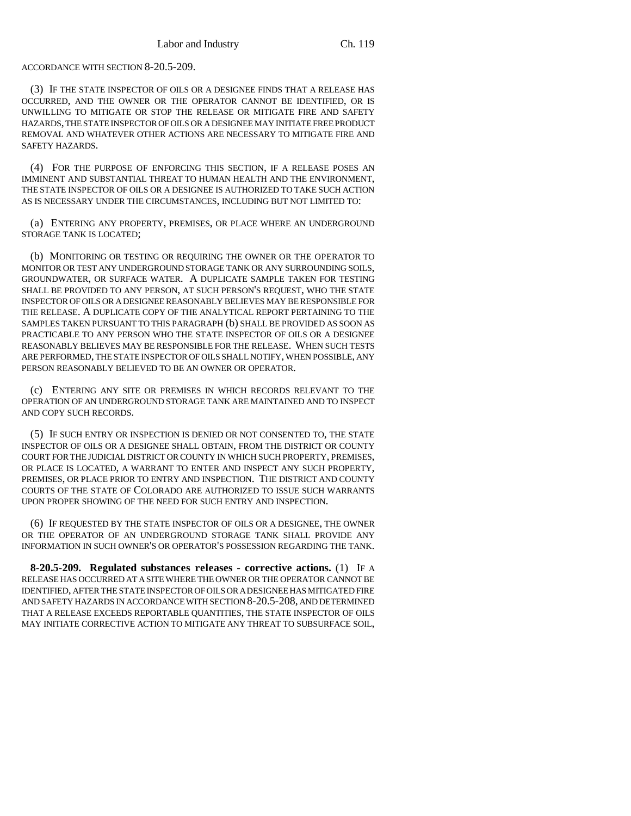#### ACCORDANCE WITH SECTION 8-20.5-209.

(3) IF THE STATE INSPECTOR OF OILS OR A DESIGNEE FINDS THAT A RELEASE HAS OCCURRED, AND THE OWNER OR THE OPERATOR CANNOT BE IDENTIFIED, OR IS UNWILLING TO MITIGATE OR STOP THE RELEASE OR MITIGATE FIRE AND SAFETY HAZARDS, THE STATE INSPECTOR OF OILS OR A DESIGNEE MAY INITIATE FREE PRODUCT REMOVAL AND WHATEVER OTHER ACTIONS ARE NECESSARY TO MITIGATE FIRE AND SAFETY HAZARDS.

(4) FOR THE PURPOSE OF ENFORCING THIS SECTION, IF A RELEASE POSES AN IMMINENT AND SUBSTANTIAL THREAT TO HUMAN HEALTH AND THE ENVIRONMENT, THE STATE INSPECTOR OF OILS OR A DESIGNEE IS AUTHORIZED TO TAKE SUCH ACTION AS IS NECESSARY UNDER THE CIRCUMSTANCES, INCLUDING BUT NOT LIMITED TO:

(a) ENTERING ANY PROPERTY, PREMISES, OR PLACE WHERE AN UNDERGROUND STORAGE TANK IS LOCATED;

(b) MONITORING OR TESTING OR REQUIRING THE OWNER OR THE OPERATOR TO MONITOR OR TEST ANY UNDERGROUND STORAGE TANK OR ANY SURROUNDING SOILS, GROUNDWATER, OR SURFACE WATER. A DUPLICATE SAMPLE TAKEN FOR TESTING SHALL BE PROVIDED TO ANY PERSON, AT SUCH PERSON'S REQUEST, WHO THE STATE INSPECTOR OF OILS OR A DESIGNEE REASONABLY BELIEVES MAY BE RESPONSIBLE FOR THE RELEASE. A DUPLICATE COPY OF THE ANALYTICAL REPORT PERTAINING TO THE SAMPLES TAKEN PURSUANT TO THIS PARAGRAPH (b) SHALL BE PROVIDED AS SOON AS PRACTICABLE TO ANY PERSON WHO THE STATE INSPECTOR OF OILS OR A DESIGNEE REASONABLY BELIEVES MAY BE RESPONSIBLE FOR THE RELEASE. WHEN SUCH TESTS ARE PERFORMED, THE STATE INSPECTOR OF OILS SHALL NOTIFY, WHEN POSSIBLE, ANY PERSON REASONABLY BELIEVED TO BE AN OWNER OR OPERATOR.

(c) ENTERING ANY SITE OR PREMISES IN WHICH RECORDS RELEVANT TO THE OPERATION OF AN UNDERGROUND STORAGE TANK ARE MAINTAINED AND TO INSPECT AND COPY SUCH RECORDS.

(5) IF SUCH ENTRY OR INSPECTION IS DENIED OR NOT CONSENTED TO, THE STATE INSPECTOR OF OILS OR A DESIGNEE SHALL OBTAIN, FROM THE DISTRICT OR COUNTY COURT FOR THE JUDICIAL DISTRICT OR COUNTY IN WHICH SUCH PROPERTY, PREMISES, OR PLACE IS LOCATED, A WARRANT TO ENTER AND INSPECT ANY SUCH PROPERTY, PREMISES, OR PLACE PRIOR TO ENTRY AND INSPECTION. THE DISTRICT AND COUNTY COURTS OF THE STATE OF COLORADO ARE AUTHORIZED TO ISSUE SUCH WARRANTS UPON PROPER SHOWING OF THE NEED FOR SUCH ENTRY AND INSPECTION.

(6) IF REQUESTED BY THE STATE INSPECTOR OF OILS OR A DESIGNEE, THE OWNER OR THE OPERATOR OF AN UNDERGROUND STORAGE TANK SHALL PROVIDE ANY INFORMATION IN SUCH OWNER'S OR OPERATOR'S POSSESSION REGARDING THE TANK.

**8-20.5-209. Regulated substances releases - corrective actions.** (1) IF A RELEASE HAS OCCURRED AT A SITE WHERE THE OWNER OR THE OPERATOR CANNOT BE IDENTIFIED, AFTER THE STATE INSPECTOR OF OILS OR A DESIGNEE HAS MITIGATED FIRE AND SAFETY HAZARDS IN ACCORDANCE WITH SECTION 8-20.5-208, AND DETERMINED THAT A RELEASE EXCEEDS REPORTABLE QUANTITIES, THE STATE INSPECTOR OF OILS MAY INITIATE CORRECTIVE ACTION TO MITIGATE ANY THREAT TO SUBSURFACE SOIL,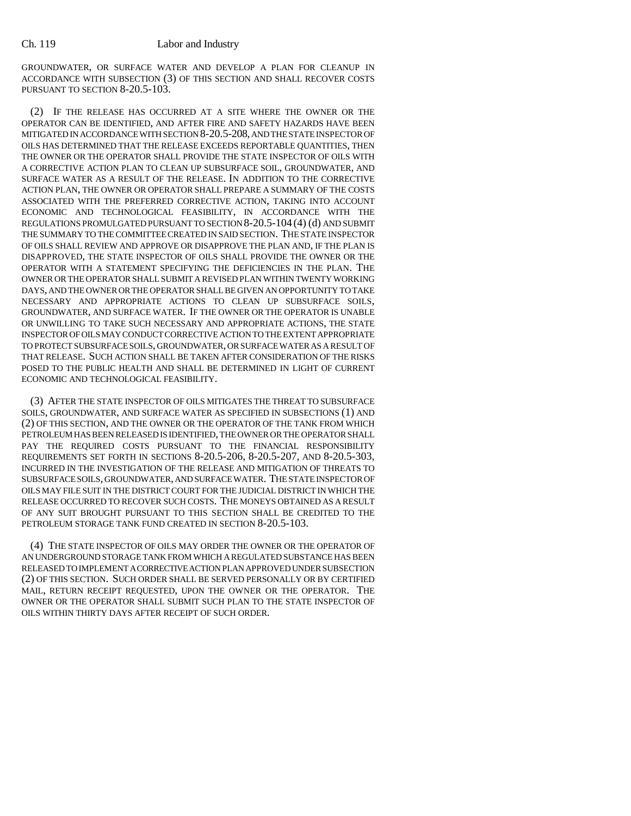GROUNDWATER, OR SURFACE WATER AND DEVELOP A PLAN FOR CLEANUP IN ACCORDANCE WITH SUBSECTION (3) OF THIS SECTION AND SHALL RECOVER COSTS PURSUANT TO SECTION 8-20.5-103.

(2) IF THE RELEASE HAS OCCURRED AT A SITE WHERE THE OWNER OR THE OPERATOR CAN BE IDENTIFIED, AND AFTER FIRE AND SAFETY HAZARDS HAVE BEEN MITIGATED IN ACCORDANCE WITH SECTION 8-20.5-208, AND THE STATE INSPECTOR OF OILS HAS DETERMINED THAT THE RELEASE EXCEEDS REPORTABLE QUANTITIES, THEN THE OWNER OR THE OPERATOR SHALL PROVIDE THE STATE INSPECTOR OF OILS WITH A CORRECTIVE ACTION PLAN TO CLEAN UP SUBSURFACE SOIL, GROUNDWATER, AND SURFACE WATER AS A RESULT OF THE RELEASE. IN ADDITION TO THE CORRECTIVE ACTION PLAN, THE OWNER OR OPERATOR SHALL PREPARE A SUMMARY OF THE COSTS ASSOCIATED WITH THE PREFERRED CORRECTIVE ACTION, TAKING INTO ACCOUNT ECONOMIC AND TECHNOLOGICAL FEASIBILITY, IN ACCORDANCE WITH THE REGULATIONS PROMULGATED PURSUANT TO SECTION 8-20.5-104 (4) (d) AND SUBMIT THE SUMMARY TO THE COMMITTEE CREATED IN SAID SECTION. THE STATE INSPECTOR OF OILS SHALL REVIEW AND APPROVE OR DISAPPROVE THE PLAN AND, IF THE PLAN IS DISAPPROVED, THE STATE INSPECTOR OF OILS SHALL PROVIDE THE OWNER OR THE OPERATOR WITH A STATEMENT SPECIFYING THE DEFICIENCIES IN THE PLAN. THE OWNER OR THE OPERATOR SHALL SUBMIT A REVISED PLAN WITHIN TWENTY WORKING DAYS, AND THE OWNER OR THE OPERATOR SHALL BE GIVEN AN OPPORTUNITY TO TAKE NECESSARY AND APPROPRIATE ACTIONS TO CLEAN UP SUBSURFACE SOILS, GROUNDWATER, AND SURFACE WATER. IF THE OWNER OR THE OPERATOR IS UNABLE OR UNWILLING TO TAKE SUCH NECESSARY AND APPROPRIATE ACTIONS, THE STATE INSPECTOR OF OILS MAY CONDUCT CORRECTIVE ACTION TO THE EXTENT APPROPRIATE TO PROTECT SUBSURFACE SOILS, GROUNDWATER, OR SURFACE WATER AS A RESULT OF THAT RELEASE. SUCH ACTION SHALL BE TAKEN AFTER CONSIDERATION OF THE RISKS POSED TO THE PUBLIC HEALTH AND SHALL BE DETERMINED IN LIGHT OF CURRENT ECONOMIC AND TECHNOLOGICAL FEASIBILITY.

(3) AFTER THE STATE INSPECTOR OF OILS MITIGATES THE THREAT TO SUBSURFACE SOILS, GROUNDWATER, AND SURFACE WATER AS SPECIFIED IN SUBSECTIONS (1) AND (2) OF THIS SECTION, AND THE OWNER OR THE OPERATOR OF THE TANK FROM WHICH PETROLEUM HAS BEEN RELEASED IS IDENTIFIED, THE OWNER OR THE OPERATOR SHALL PAY THE REQUIRED COSTS PURSUANT TO THE FINANCIAL RESPONSIBILITY REQUIREMENTS SET FORTH IN SECTIONS 8-20.5-206, 8-20.5-207, AND 8-20.5-303, INCURRED IN THE INVESTIGATION OF THE RELEASE AND MITIGATION OF THREATS TO SUBSURFACE SOILS, GROUNDWATER, AND SURFACE WATER. THE STATE INSPECTOR OF OILS MAY FILE SUIT IN THE DISTRICT COURT FOR THE JUDICIAL DISTRICT IN WHICH THE RELEASE OCCURRED TO RECOVER SUCH COSTS. THE MONEYS OBTAINED AS A RESULT OF ANY SUIT BROUGHT PURSUANT TO THIS SECTION SHALL BE CREDITED TO THE PETROLEUM STORAGE TANK FUND CREATED IN SECTION 8-20.5-103.

(4) THE STATE INSPECTOR OF OILS MAY ORDER THE OWNER OR THE OPERATOR OF AN UNDERGROUND STORAGE TANK FROM WHICH A REGULATED SUBSTANCE HAS BEEN RELEASED TO IMPLEMENT A CORRECTIVE ACTION PLAN APPROVED UNDER SUBSECTION (2) OF THIS SECTION. SUCH ORDER SHALL BE SERVED PERSONALLY OR BY CERTIFIED MAIL, RETURN RECEIPT REQUESTED, UPON THE OWNER OR THE OPERATOR. THE OWNER OR THE OPERATOR SHALL SUBMIT SUCH PLAN TO THE STATE INSPECTOR OF OILS WITHIN THIRTY DAYS AFTER RECEIPT OF SUCH ORDER.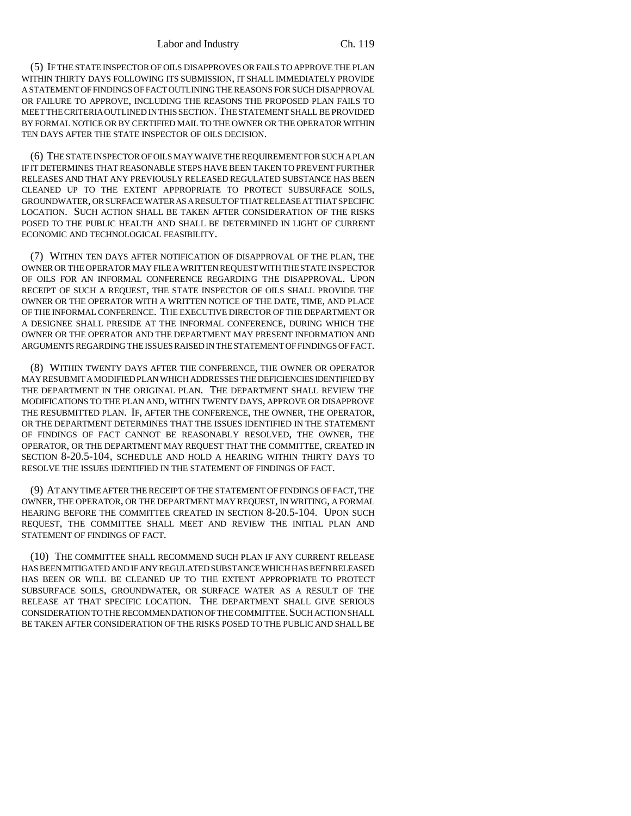(5) IF THE STATE INSPECTOR OF OILS DISAPPROVES OR FAILS TO APPROVE THE PLAN WITHIN THIRTY DAYS FOLLOWING ITS SUBMISSION, IT SHALL IMMEDIATELY PROVIDE A STATEMENT OF FINDINGS OF FACT OUTLINING THE REASONS FOR SUCH DISAPPROVAL OR FAILURE TO APPROVE, INCLUDING THE REASONS THE PROPOSED PLAN FAILS TO MEET THE CRITERIA OUTLINED IN THIS SECTION. THE STATEMENT SHALL BE PROVIDED BY FORMAL NOTICE OR BY CERTIFIED MAIL TO THE OWNER OR THE OPERATOR WITHIN TEN DAYS AFTER THE STATE INSPECTOR OF OILS DECISION.

(6) THE STATE INSPECTOR OF OILS MAY WAIVE THE REQUIREMENT FOR SUCH A PLAN IF IT DETERMINES THAT REASONABLE STEPS HAVE BEEN TAKEN TO PREVENT FURTHER RELEASES AND THAT ANY PREVIOUSLY RELEASED REGULATED SUBSTANCE HAS BEEN CLEANED UP TO THE EXTENT APPROPRIATE TO PROTECT SUBSURFACE SOILS, GROUNDWATER, OR SURFACE WATER AS A RESULT OF THAT RELEASE AT THAT SPECIFIC LOCATION. SUCH ACTION SHALL BE TAKEN AFTER CONSIDERATION OF THE RISKS POSED TO THE PUBLIC HEALTH AND SHALL BE DETERMINED IN LIGHT OF CURRENT ECONOMIC AND TECHNOLOGICAL FEASIBILITY.

(7) WITHIN TEN DAYS AFTER NOTIFICATION OF DISAPPROVAL OF THE PLAN, THE OWNER OR THE OPERATOR MAY FILE A WRITTEN REQUEST WITH THE STATE INSPECTOR OF OILS FOR AN INFORMAL CONFERENCE REGARDING THE DISAPPROVAL. UPON RECEIPT OF SUCH A REQUEST, THE STATE INSPECTOR OF OILS SHALL PROVIDE THE OWNER OR THE OPERATOR WITH A WRITTEN NOTICE OF THE DATE, TIME, AND PLACE OF THE INFORMAL CONFERENCE. THE EXECUTIVE DIRECTOR OF THE DEPARTMENT OR A DESIGNEE SHALL PRESIDE AT THE INFORMAL CONFERENCE, DURING WHICH THE OWNER OR THE OPERATOR AND THE DEPARTMENT MAY PRESENT INFORMATION AND ARGUMENTS REGARDING THE ISSUES RAISED IN THE STATEMENT OF FINDINGS OF FACT.

(8) WITHIN TWENTY DAYS AFTER THE CONFERENCE, THE OWNER OR OPERATOR MAY RESUBMIT A MODIFIED PLAN WHICH ADDRESSES THE DEFICIENCIES IDENTIFIED BY THE DEPARTMENT IN THE ORIGINAL PLAN. THE DEPARTMENT SHALL REVIEW THE MODIFICATIONS TO THE PLAN AND, WITHIN TWENTY DAYS, APPROVE OR DISAPPROVE THE RESUBMITTED PLAN. IF, AFTER THE CONFERENCE, THE OWNER, THE OPERATOR, OR THE DEPARTMENT DETERMINES THAT THE ISSUES IDENTIFIED IN THE STATEMENT OF FINDINGS OF FACT CANNOT BE REASONABLY RESOLVED, THE OWNER, THE OPERATOR, OR THE DEPARTMENT MAY REQUEST THAT THE COMMITTEE, CREATED IN SECTION 8-20.5-104, SCHEDULE AND HOLD A HEARING WITHIN THIRTY DAYS TO RESOLVE THE ISSUES IDENTIFIED IN THE STATEMENT OF FINDINGS OF FACT.

(9) AT ANY TIME AFTER THE RECEIPT OF THE STATEMENT OF FINDINGS OF FACT, THE OWNER, THE OPERATOR, OR THE DEPARTMENT MAY REQUEST, IN WRITING, A FORMAL HEARING BEFORE THE COMMITTEE CREATED IN SECTION 8-20.5-104. UPON SUCH REQUEST, THE COMMITTEE SHALL MEET AND REVIEW THE INITIAL PLAN AND STATEMENT OF FINDINGS OF FACT.

(10) THE COMMITTEE SHALL RECOMMEND SUCH PLAN IF ANY CURRENT RELEASE HAS BEEN MITIGATED AND IF ANY REGULATED SUBSTANCE WHICH HAS BEEN RELEASED HAS BEEN OR WILL BE CLEANED UP TO THE EXTENT APPROPRIATE TO PROTECT SUBSURFACE SOILS, GROUNDWATER, OR SURFACE WATER AS A RESULT OF THE RELEASE AT THAT SPECIFIC LOCATION. THE DEPARTMENT SHALL GIVE SERIOUS CONSIDERATION TO THE RECOMMENDATION OF THE COMMITTEE.SUCH ACTION SHALL BE TAKEN AFTER CONSIDERATION OF THE RISKS POSED TO THE PUBLIC AND SHALL BE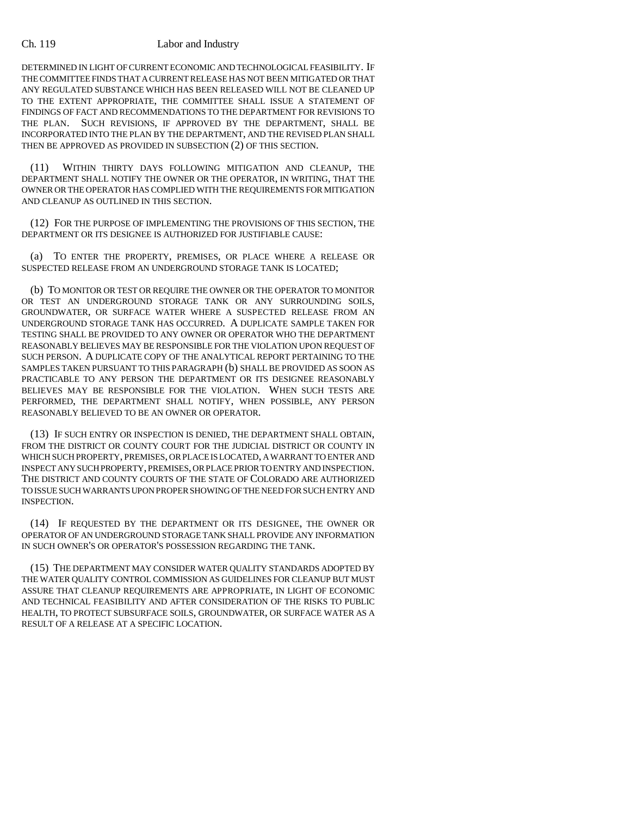DETERMINED IN LIGHT OF CURRENT ECONOMIC AND TECHNOLOGICAL FEASIBILITY. IF THE COMMITTEE FINDS THAT A CURRENT RELEASE HAS NOT BEEN MITIGATED OR THAT ANY REGULATED SUBSTANCE WHICH HAS BEEN RELEASED WILL NOT BE CLEANED UP TO THE EXTENT APPROPRIATE, THE COMMITTEE SHALL ISSUE A STATEMENT OF FINDINGS OF FACT AND RECOMMENDATIONS TO THE DEPARTMENT FOR REVISIONS TO THE PLAN. SUCH REVISIONS, IF APPROVED BY THE DEPARTMENT, SHALL BE INCORPORATED INTO THE PLAN BY THE DEPARTMENT, AND THE REVISED PLAN SHALL THEN BE APPROVED AS PROVIDED IN SUBSECTION (2) OF THIS SECTION.

(11) WITHIN THIRTY DAYS FOLLOWING MITIGATION AND CLEANUP, THE DEPARTMENT SHALL NOTIFY THE OWNER OR THE OPERATOR, IN WRITING, THAT THE OWNER OR THE OPERATOR HAS COMPLIED WITH THE REQUIREMENTS FOR MITIGATION AND CLEANUP AS OUTLINED IN THIS SECTION.

(12) FOR THE PURPOSE OF IMPLEMENTING THE PROVISIONS OF THIS SECTION, THE DEPARTMENT OR ITS DESIGNEE IS AUTHORIZED FOR JUSTIFIABLE CAUSE:

(a) TO ENTER THE PROPERTY, PREMISES, OR PLACE WHERE A RELEASE OR SUSPECTED RELEASE FROM AN UNDERGROUND STORAGE TANK IS LOCATED;

(b) TO MONITOR OR TEST OR REQUIRE THE OWNER OR THE OPERATOR TO MONITOR OR TEST AN UNDERGROUND STORAGE TANK OR ANY SURROUNDING SOILS, GROUNDWATER, OR SURFACE WATER WHERE A SUSPECTED RELEASE FROM AN UNDERGROUND STORAGE TANK HAS OCCURRED. A DUPLICATE SAMPLE TAKEN FOR TESTING SHALL BE PROVIDED TO ANY OWNER OR OPERATOR WHO THE DEPARTMENT REASONABLY BELIEVES MAY BE RESPONSIBLE FOR THE VIOLATION UPON REQUEST OF SUCH PERSON. A DUPLICATE COPY OF THE ANALYTICAL REPORT PERTAINING TO THE SAMPLES TAKEN PURSUANT TO THIS PARAGRAPH (b) SHALL BE PROVIDED AS SOON AS PRACTICABLE TO ANY PERSON THE DEPARTMENT OR ITS DESIGNEE REASONABLY BELIEVES MAY BE RESPONSIBLE FOR THE VIOLATION. WHEN SUCH TESTS ARE PERFORMED, THE DEPARTMENT SHALL NOTIFY, WHEN POSSIBLE, ANY PERSON REASONABLY BELIEVED TO BE AN OWNER OR OPERATOR.

(13) IF SUCH ENTRY OR INSPECTION IS DENIED, THE DEPARTMENT SHALL OBTAIN, FROM THE DISTRICT OR COUNTY COURT FOR THE JUDICIAL DISTRICT OR COUNTY IN WHICH SUCH PROPERTY, PREMISES, OR PLACE IS LOCATED, A WARRANT TO ENTER AND INSPECT ANY SUCH PROPERTY, PREMISES, OR PLACE PRIOR TO ENTRY AND INSPECTION. THE DISTRICT AND COUNTY COURTS OF THE STATE OF COLORADO ARE AUTHORIZED TO ISSUE SUCH WARRANTS UPON PROPER SHOWING OF THE NEED FOR SUCH ENTRY AND INSPECTION.

(14) IF REQUESTED BY THE DEPARTMENT OR ITS DESIGNEE, THE OWNER OR OPERATOR OF AN UNDERGROUND STORAGE TANK SHALL PROVIDE ANY INFORMATION IN SUCH OWNER'S OR OPERATOR'S POSSESSION REGARDING THE TANK.

(15) THE DEPARTMENT MAY CONSIDER WATER QUALITY STANDARDS ADOPTED BY THE WATER QUALITY CONTROL COMMISSION AS GUIDELINES FOR CLEANUP BUT MUST ASSURE THAT CLEANUP REQUIREMENTS ARE APPROPRIATE, IN LIGHT OF ECONOMIC AND TECHNICAL FEASIBILITY AND AFTER CONSIDERATION OF THE RISKS TO PUBLIC HEALTH, TO PROTECT SUBSURFACE SOILS, GROUNDWATER, OR SURFACE WATER AS A RESULT OF A RELEASE AT A SPECIFIC LOCATION.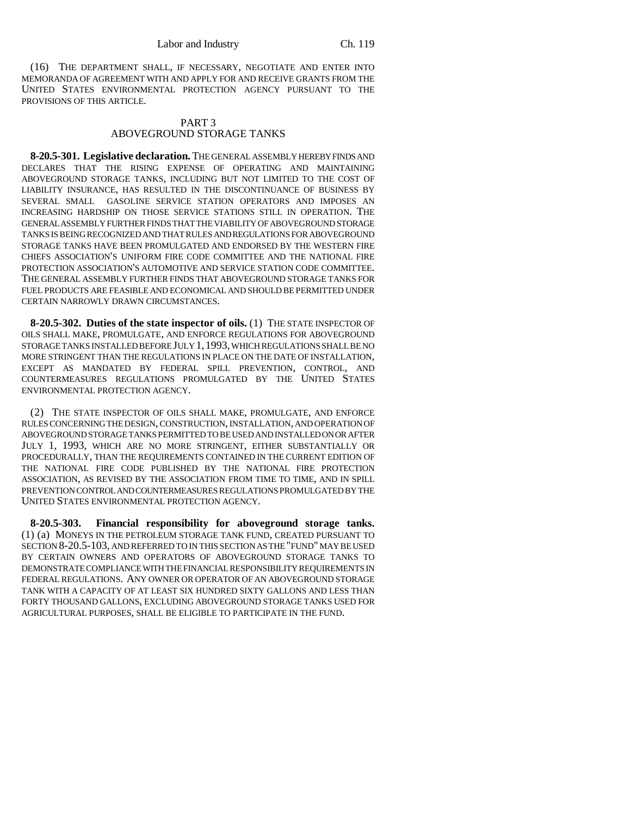(16) THE DEPARTMENT SHALL, IF NECESSARY, NEGOTIATE AND ENTER INTO MEMORANDA OF AGREEMENT WITH AND APPLY FOR AND RECEIVE GRANTS FROM THE UNITED STATES ENVIRONMENTAL PROTECTION AGENCY PURSUANT TO THE PROVISIONS OF THIS ARTICLE.

### PART 3 ABOVEGROUND STORAGE TANKS

**8-20.5-301. Legislative declaration.** THE GENERAL ASSEMBLY HEREBY FINDS AND DECLARES THAT THE RISING EXPENSE OF OPERATING AND MAINTAINING ABOVEGROUND STORAGE TANKS, INCLUDING BUT NOT LIMITED TO THE COST OF LIABILITY INSURANCE, HAS RESULTED IN THE DISCONTINUANCE OF BUSINESS BY SEVERAL SMALL GASOLINE SERVICE STATION OPERATORS AND IMPOSES AN INCREASING HARDSHIP ON THOSE SERVICE STATIONS STILL IN OPERATION. THE GENERAL ASSEMBLY FURTHER FINDS THAT THE VIABILITY OF ABOVEGROUND STORAGE TANKS IS BEING RECOGNIZED AND THAT RULES AND REGULATIONS FOR ABOVEGROUND STORAGE TANKS HAVE BEEN PROMULGATED AND ENDORSED BY THE WESTERN FIRE CHIEFS ASSOCIATION'S UNIFORM FIRE CODE COMMITTEE AND THE NATIONAL FIRE PROTECTION ASSOCIATION'S AUTOMOTIVE AND SERVICE STATION CODE COMMITTEE. THE GENERAL ASSEMBLY FURTHER FINDS THAT ABOVEGROUND STORAGE TANKS FOR FUEL PRODUCTS ARE FEASIBLE AND ECONOMICAL AND SHOULD BE PERMITTED UNDER CERTAIN NARROWLY DRAWN CIRCUMSTANCES.

**8-20.5-302. Duties of the state inspector of oils.** (1) THE STATE INSPECTOR OF OILS SHALL MAKE, PROMULGATE, AND ENFORCE REGULATIONS FOR ABOVEGROUND STORAGE TANKS INSTALLED BEFORE JULY 1,1993, WHICH REGULATIONS SHALL BE NO MORE STRINGENT THAN THE REGULATIONS IN PLACE ON THE DATE OF INSTALLATION, EXCEPT AS MANDATED BY FEDERAL SPILL PREVENTION, CONTROL, AND COUNTERMEASURES REGULATIONS PROMULGATED BY THE UNITED STATES ENVIRONMENTAL PROTECTION AGENCY.

(2) THE STATE INSPECTOR OF OILS SHALL MAKE, PROMULGATE, AND ENFORCE RULES CONCERNING THE DESIGN, CONSTRUCTION, INSTALLATION, AND OPERATION OF ABOVEGROUND STORAGE TANKS PERMITTED TO BE USED AND INSTALLED ON OR AFTER JULY 1, 1993, WHICH ARE NO MORE STRINGENT, EITHER SUBSTANTIALLY OR PROCEDURALLY, THAN THE REQUIREMENTS CONTAINED IN THE CURRENT EDITION OF THE NATIONAL FIRE CODE PUBLISHED BY THE NATIONAL FIRE PROTECTION ASSOCIATION, AS REVISED BY THE ASSOCIATION FROM TIME TO TIME, AND IN SPILL PREVENTION CONTROL AND COUNTERMEASURES REGULATIONS PROMULGATED BY THE UNITED STATES ENVIRONMENTAL PROTECTION AGENCY.

**8-20.5-303. Financial responsibility for aboveground storage tanks.** (1) (a) MONEYS IN THE PETROLEUM STORAGE TANK FUND, CREATED PURSUANT TO SECTION 8-20.5-103, AND REFERRED TO IN THIS SECTION AS THE "FUND" MAY BE USED BY CERTAIN OWNERS AND OPERATORS OF ABOVEGROUND STORAGE TANKS TO DEMONSTRATE COMPLIANCE WITH THE FINANCIAL RESPONSIBILITY REQUIREMENTS IN FEDERAL REGULATIONS. ANY OWNER OR OPERATOR OF AN ABOVEGROUND STORAGE TANK WITH A CAPACITY OF AT LEAST SIX HUNDRED SIXTY GALLONS AND LESS THAN FORTY THOUSAND GALLONS, EXCLUDING ABOVEGROUND STORAGE TANKS USED FOR AGRICULTURAL PURPOSES, SHALL BE ELIGIBLE TO PARTICIPATE IN THE FUND.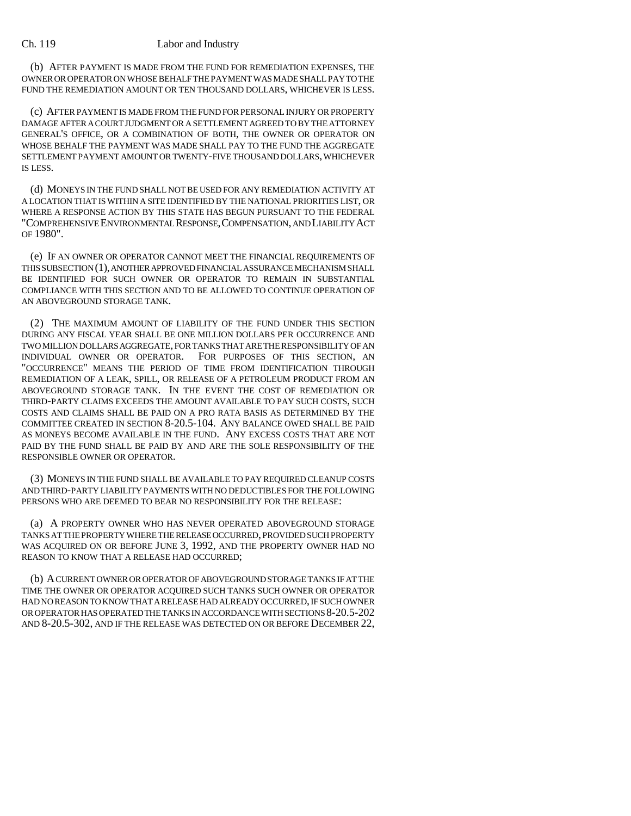(b) AFTER PAYMENT IS MADE FROM THE FUND FOR REMEDIATION EXPENSES, THE OWNER OR OPERATOR ON WHOSE BEHALF THE PAYMENT WAS MADE SHALL PAY TO THE FUND THE REMEDIATION AMOUNT OR TEN THOUSAND DOLLARS, WHICHEVER IS LESS.

(c) AFTER PAYMENT IS MADE FROM THE FUND FOR PERSONAL INJURY OR PROPERTY DAMAGE AFTER A COURT JUDGMENT OR A SETTLEMENT AGREED TO BY THE ATTORNEY GENERAL'S OFFICE, OR A COMBINATION OF BOTH, THE OWNER OR OPERATOR ON WHOSE BEHALF THE PAYMENT WAS MADE SHALL PAY TO THE FUND THE AGGREGATE SETTLEMENT PAYMENT AMOUNT OR TWENTY-FIVE THOUSAND DOLLARS, WHICHEVER IS LESS.

(d) MONEYS IN THE FUND SHALL NOT BE USED FOR ANY REMEDIATION ACTIVITY AT A LOCATION THAT IS WITHIN A SITE IDENTIFIED BY THE NATIONAL PRIORITIES LIST, OR WHERE A RESPONSE ACTION BY THIS STATE HAS BEGUN PURSUANT TO THE FEDERAL "COMPREHENSIVE ENVIRONMENTAL RESPONSE,COMPENSATION, AND LIABILITY ACT OF 1980".

(e) IF AN OWNER OR OPERATOR CANNOT MEET THE FINANCIAL REQUIREMENTS OF THIS SUBSECTION (1), ANOTHER APPROVED FINANCIAL ASSURANCE MECHANISM SHALL BE IDENTIFIED FOR SUCH OWNER OR OPERATOR TO REMAIN IN SUBSTANTIAL COMPLIANCE WITH THIS SECTION AND TO BE ALLOWED TO CONTINUE OPERATION OF AN ABOVEGROUND STORAGE TANK.

(2) THE MAXIMUM AMOUNT OF LIABILITY OF THE FUND UNDER THIS SECTION DURING ANY FISCAL YEAR SHALL BE ONE MILLION DOLLARS PER OCCURRENCE AND TWO MILLION DOLLARS AGGREGATE, FOR TANKS THAT ARE THE RESPONSIBILITY OF AN INDIVIDUAL OWNER OR OPERATOR. FOR PURPOSES OF THIS SECTION, AN "OCCURRENCE" MEANS THE PERIOD OF TIME FROM IDENTIFICATION THROUGH REMEDIATION OF A LEAK, SPILL, OR RELEASE OF A PETROLEUM PRODUCT FROM AN ABOVEGROUND STORAGE TANK. IN THE EVENT THE COST OF REMEDIATION OR THIRD-PARTY CLAIMS EXCEEDS THE AMOUNT AVAILABLE TO PAY SUCH COSTS, SUCH COSTS AND CLAIMS SHALL BE PAID ON A PRO RATA BASIS AS DETERMINED BY THE COMMITTEE CREATED IN SECTION 8-20.5-104. ANY BALANCE OWED SHALL BE PAID AS MONEYS BECOME AVAILABLE IN THE FUND. ANY EXCESS COSTS THAT ARE NOT PAID BY THE FUND SHALL BE PAID BY AND ARE THE SOLE RESPONSIBILITY OF THE RESPONSIBLE OWNER OR OPERATOR.

(3) MONEYS IN THE FUND SHALL BE AVAILABLE TO PAY REQUIRED CLEANUP COSTS AND THIRD-PARTY LIABILITY PAYMENTS WITH NO DEDUCTIBLES FOR THE FOLLOWING PERSONS WHO ARE DEEMED TO BEAR NO RESPONSIBILITY FOR THE RELEASE:

(a) A PROPERTY OWNER WHO HAS NEVER OPERATED ABOVEGROUND STORAGE TANKS AT THE PROPERTY WHERE THE RELEASE OCCURRED, PROVIDED SUCH PROPERTY WAS ACQUIRED ON OR BEFORE JUNE 3, 1992, AND THE PROPERTY OWNER HAD NO REASON TO KNOW THAT A RELEASE HAD OCCURRED;

(b) A CURRENT OWNER OR OPERATOR OF ABOVEGROUND STORAGE TANKS IF AT THE TIME THE OWNER OR OPERATOR ACQUIRED SUCH TANKS SUCH OWNER OR OPERATOR HAD NO REASON TO KNOW THAT A RELEASE HAD ALREADY OCCURRED, IF SUCH OWNER OR OPERATOR HAS OPERATED THE TANKS IN ACCORDANCE WITH SECTIONS 8-20.5-202 AND 8-20.5-302, AND IF THE RELEASE WAS DETECTED ON OR BEFORE DECEMBER 22,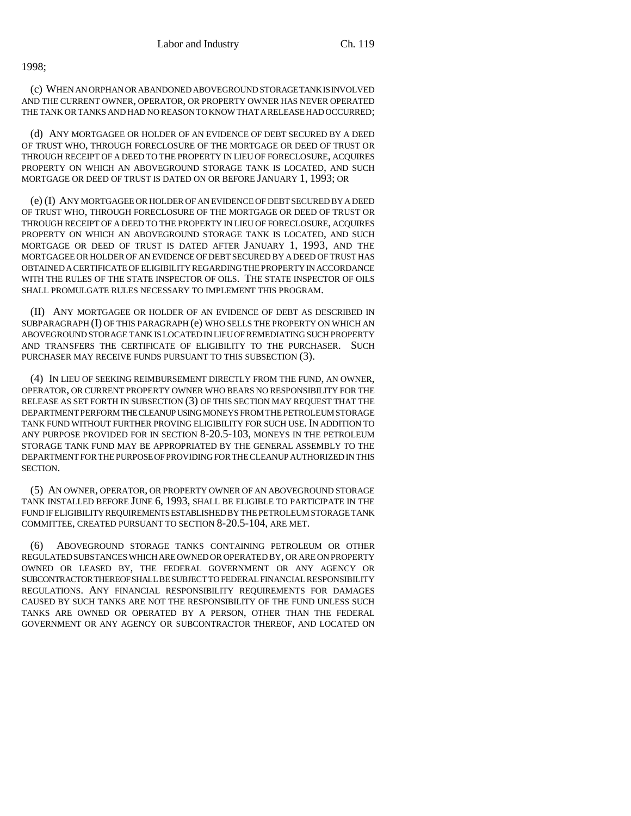1998;

(c) WHEN AN ORPHAN OR ABANDONED ABOVEGROUND STORAGE TANK IS INVOLVED AND THE CURRENT OWNER, OPERATOR, OR PROPERTY OWNER HAS NEVER OPERATED THE TANK OR TANKS AND HAD NO REASON TO KNOW THAT A RELEASE HAD OCCURRED;

(d) ANY MORTGAGEE OR HOLDER OF AN EVIDENCE OF DEBT SECURED BY A DEED OF TRUST WHO, THROUGH FORECLOSURE OF THE MORTGAGE OR DEED OF TRUST OR THROUGH RECEIPT OF A DEED TO THE PROPERTY IN LIEU OF FORECLOSURE, ACQUIRES PROPERTY ON WHICH AN ABOVEGROUND STORAGE TANK IS LOCATED, AND SUCH MORTGAGE OR DEED OF TRUST IS DATED ON OR BEFORE JANUARY 1, 1993; OR

(e) (I) ANY MORTGAGEE OR HOLDER OF AN EVIDENCE OF DEBT SECURED BY A DEED OF TRUST WHO, THROUGH FORECLOSURE OF THE MORTGAGE OR DEED OF TRUST OR THROUGH RECEIPT OF A DEED TO THE PROPERTY IN LIEU OF FORECLOSURE, ACQUIRES PROPERTY ON WHICH AN ABOVEGROUND STORAGE TANK IS LOCATED, AND SUCH MORTGAGE OR DEED OF TRUST IS DATED AFTER JANUARY 1, 1993, AND THE MORTGAGEE OR HOLDER OF AN EVIDENCE OF DEBT SECURED BY A DEED OF TRUST HAS OBTAINED A CERTIFICATE OF ELIGIBILITY REGARDING THE PROPERTY IN ACCORDANCE WITH THE RULES OF THE STATE INSPECTOR OF OILS. THE STATE INSPECTOR OF OILS SHALL PROMULGATE RULES NECESSARY TO IMPLEMENT THIS PROGRAM.

(II) ANY MORTGAGEE OR HOLDER OF AN EVIDENCE OF DEBT AS DESCRIBED IN SUBPARAGRAPH (I) OF THIS PARAGRAPH (e) WHO SELLS THE PROPERTY ON WHICH AN ABOVEGROUND STORAGE TANK IS LOCATED IN LIEU OF REMEDIATING SUCH PROPERTY AND TRANSFERS THE CERTIFICATE OF ELIGIBILITY TO THE PURCHASER. SUCH PURCHASER MAY RECEIVE FUNDS PURSUANT TO THIS SUBSECTION (3).

(4) IN LIEU OF SEEKING REIMBURSEMENT DIRECTLY FROM THE FUND, AN OWNER, OPERATOR, OR CURRENT PROPERTY OWNER WHO BEARS NO RESPONSIBILITY FOR THE RELEASE AS SET FORTH IN SUBSECTION (3) OF THIS SECTION MAY REQUEST THAT THE DEPARTMENT PERFORM THE CLEANUP USING MONEYS FROM THE PETROLEUM STORAGE TANK FUND WITHOUT FURTHER PROVING ELIGIBILITY FOR SUCH USE. IN ADDITION TO ANY PURPOSE PROVIDED FOR IN SECTION 8-20.5-103, MONEYS IN THE PETROLEUM STORAGE TANK FUND MAY BE APPROPRIATED BY THE GENERAL ASSEMBLY TO THE DEPARTMENT FOR THE PURPOSE OF PROVIDING FOR THE CLEANUP AUTHORIZED IN THIS SECTION.

(5) AN OWNER, OPERATOR, OR PROPERTY OWNER OF AN ABOVEGROUND STORAGE TANK INSTALLED BEFORE JUNE 6, 1993, SHALL BE ELIGIBLE TO PARTICIPATE IN THE FUND IF ELIGIBILITY REQUIREMENTS ESTABLISHED BY THE PETROLEUM STORAGE TANK COMMITTEE, CREATED PURSUANT TO SECTION 8-20.5-104, ARE MET.

(6) ABOVEGROUND STORAGE TANKS CONTAINING PETROLEUM OR OTHER REGULATED SUBSTANCES WHICH ARE OWNED OR OPERATED BY, OR ARE ON PROPERTY OWNED OR LEASED BY, THE FEDERAL GOVERNMENT OR ANY AGENCY OR SUBCONTRACTOR THEREOF SHALL BE SUBJECT TO FEDERAL FINANCIAL RESPONSIBILITY REGULATIONS. ANY FINANCIAL RESPONSIBILITY REQUIREMENTS FOR DAMAGES CAUSED BY SUCH TANKS ARE NOT THE RESPONSIBILITY OF THE FUND UNLESS SUCH TANKS ARE OWNED OR OPERATED BY A PERSON, OTHER THAN THE FEDERAL GOVERNMENT OR ANY AGENCY OR SUBCONTRACTOR THEREOF, AND LOCATED ON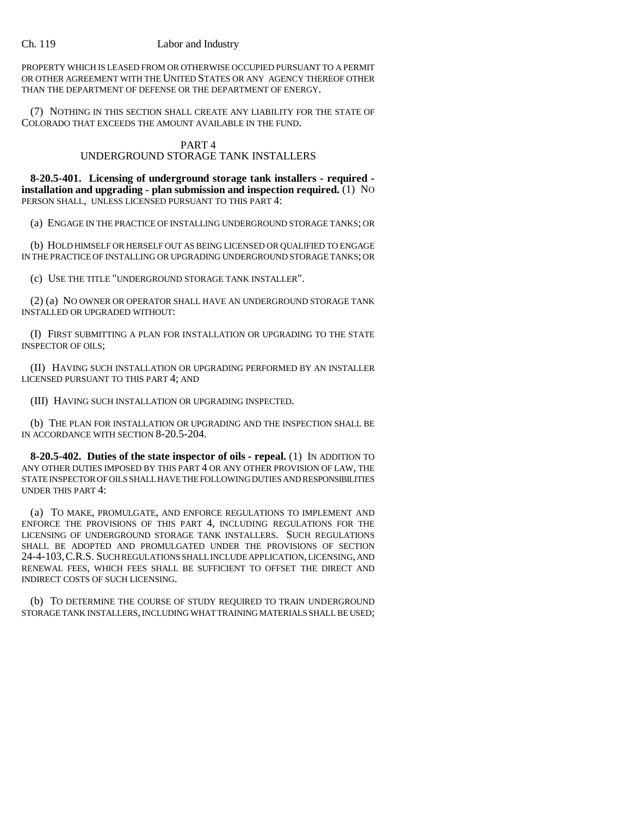PROPERTY WHICH IS LEASED FROM OR OTHERWISE OCCUPIED PURSUANT TO A PERMIT OR OTHER AGREEMENT WITH THE UNITED STATES OR ANY AGENCY THEREOF OTHER THAN THE DEPARTMENT OF DEFENSE OR THE DEPARTMENT OF ENERGY.

(7) NOTHING IN THIS SECTION SHALL CREATE ANY LIABILITY FOR THE STATE OF COLORADO THAT EXCEEDS THE AMOUNT AVAILABLE IN THE FUND.

# PART 4

## UNDERGROUND STORAGE TANK INSTALLERS

**8-20.5-401. Licensing of underground storage tank installers - required installation and upgrading - plan submission and inspection required.** (1) NO PERSON SHALL, UNLESS LICENSED PURSUANT TO THIS PART 4:

(a) ENGAGE IN THE PRACTICE OF INSTALLING UNDERGROUND STORAGE TANKS; OR

(b) HOLD HIMSELF OR HERSELF OUT AS BEING LICENSED OR QUALIFIED TO ENGAGE IN THE PRACTICE OF INSTALLING OR UPGRADING UNDERGROUND STORAGE TANKS; OR

(c) USE THE TITLE "UNDERGROUND STORAGE TANK INSTALLER".

(2) (a) NO OWNER OR OPERATOR SHALL HAVE AN UNDERGROUND STORAGE TANK INSTALLED OR UPGRADED WITHOUT:

(I) FIRST SUBMITTING A PLAN FOR INSTALLATION OR UPGRADING TO THE STATE INSPECTOR OF OILS;

(II) HAVING SUCH INSTALLATION OR UPGRADING PERFORMED BY AN INSTALLER LICENSED PURSUANT TO THIS PART 4; AND

(III) HAVING SUCH INSTALLATION OR UPGRADING INSPECTED.

(b) THE PLAN FOR INSTALLATION OR UPGRADING AND THE INSPECTION SHALL BE IN ACCORDANCE WITH SECTION 8-20.5-204.

**8-20.5-402. Duties of the state inspector of oils - repeal.** (1) IN ADDITION TO ANY OTHER DUTIES IMPOSED BY THIS PART 4 OR ANY OTHER PROVISION OF LAW, THE STATE INSPECTOR OF OILS SHALL HAVE THE FOLLOWING DUTIES AND RESPONSIBILITIES UNDER THIS PART 4:

(a) TO MAKE, PROMULGATE, AND ENFORCE REGULATIONS TO IMPLEMENT AND ENFORCE THE PROVISIONS OF THIS PART 4, INCLUDING REGULATIONS FOR THE LICENSING OF UNDERGROUND STORAGE TANK INSTALLERS. SUCH REGULATIONS SHALL BE ADOPTED AND PROMULGATED UNDER THE PROVISIONS OF SECTION 24-4-103,C.R.S. SUCH REGULATIONS SHALL INCLUDE APPLICATION, LICENSING, AND RENEWAL FEES, WHICH FEES SHALL BE SUFFICIENT TO OFFSET THE DIRECT AND INDIRECT COSTS OF SUCH LICENSING.

(b) TO DETERMINE THE COURSE OF STUDY REQUIRED TO TRAIN UNDERGROUND STORAGE TANK INSTALLERS, INCLUDING WHAT TRAINING MATERIALS SHALL BE USED;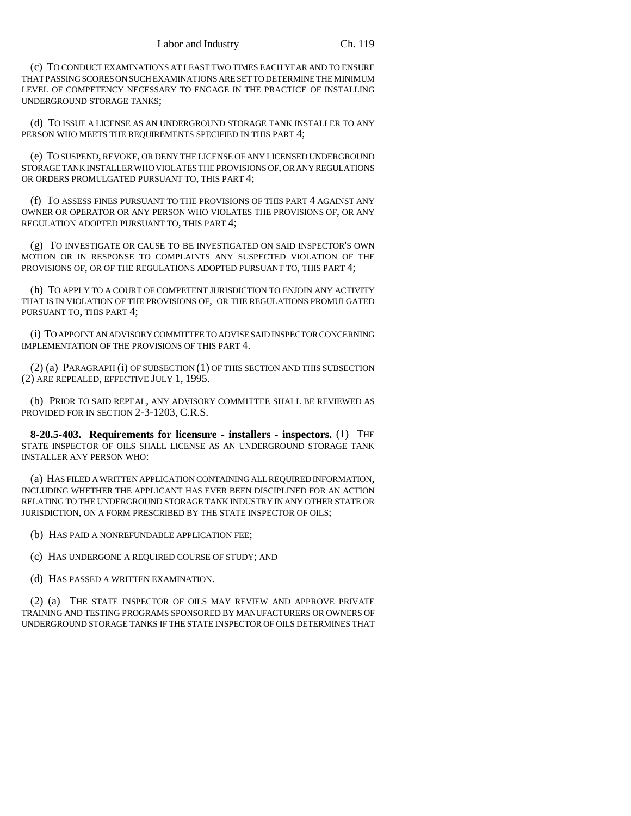(c) TO CONDUCT EXAMINATIONS AT LEAST TWO TIMES EACH YEAR AND TO ENSURE THAT PASSING SCORES ON SUCH EXAMINATIONS ARE SET TO DETERMINE THE MINIMUM LEVEL OF COMPETENCY NECESSARY TO ENGAGE IN THE PRACTICE OF INSTALLING UNDERGROUND STORAGE TANKS;

(d) TO ISSUE A LICENSE AS AN UNDERGROUND STORAGE TANK INSTALLER TO ANY PERSON WHO MEETS THE REQUIREMENTS SPECIFIED IN THIS PART 4:

(e) TO SUSPEND, REVOKE, OR DENY THE LICENSE OF ANY LICENSED UNDERGROUND STORAGE TANK INSTALLER WHO VIOLATES THE PROVISIONS OF, OR ANY REGULATIONS OR ORDERS PROMULGATED PURSUANT TO, THIS PART 4;

(f) TO ASSESS FINES PURSUANT TO THE PROVISIONS OF THIS PART 4 AGAINST ANY OWNER OR OPERATOR OR ANY PERSON WHO VIOLATES THE PROVISIONS OF, OR ANY REGULATION ADOPTED PURSUANT TO, THIS PART 4;

(g) TO INVESTIGATE OR CAUSE TO BE INVESTIGATED ON SAID INSPECTOR'S OWN MOTION OR IN RESPONSE TO COMPLAINTS ANY SUSPECTED VIOLATION OF THE PROVISIONS OF, OR OF THE REGULATIONS ADOPTED PURSUANT TO, THIS PART 4;

(h) TO APPLY TO A COURT OF COMPETENT JURISDICTION TO ENJOIN ANY ACTIVITY THAT IS IN VIOLATION OF THE PROVISIONS OF, OR THE REGULATIONS PROMULGATED PURSUANT TO, THIS PART 4;

(i) TO APPOINT AN ADVISORY COMMITTEE TO ADVISE SAID INSPECTOR CONCERNING IMPLEMENTATION OF THE PROVISIONS OF THIS PART 4.

(2) (a) PARAGRAPH (i) OF SUBSECTION (1) OF THIS SECTION AND THIS SUBSECTION (2) ARE REPEALED, EFFECTIVE JULY 1, 1995.

(b) PRIOR TO SAID REPEAL, ANY ADVISORY COMMITTEE SHALL BE REVIEWED AS PROVIDED FOR IN SECTION 2-3-1203, C.R.S.

**8-20.5-403. Requirements for licensure - installers - inspectors.** (1) THE STATE INSPECTOR OF OILS SHALL LICENSE AS AN UNDERGROUND STORAGE TANK INSTALLER ANY PERSON WHO:

(a) HAS FILED A WRITTEN APPLICATION CONTAINING ALL REQUIRED INFORMATION, INCLUDING WHETHER THE APPLICANT HAS EVER BEEN DISCIPLINED FOR AN ACTION RELATING TO THE UNDERGROUND STORAGE TANK INDUSTRY IN ANY OTHER STATE OR JURISDICTION, ON A FORM PRESCRIBED BY THE STATE INSPECTOR OF OILS;

(b) HAS PAID A NONREFUNDABLE APPLICATION FEE;

(c) HAS UNDERGONE A REQUIRED COURSE OF STUDY; AND

(d) HAS PASSED A WRITTEN EXAMINATION.

(2) (a) THE STATE INSPECTOR OF OILS MAY REVIEW AND APPROVE PRIVATE TRAINING AND TESTING PROGRAMS SPONSORED BY MANUFACTURERS OR OWNERS OF UNDERGROUND STORAGE TANKS IF THE STATE INSPECTOR OF OILS DETERMINES THAT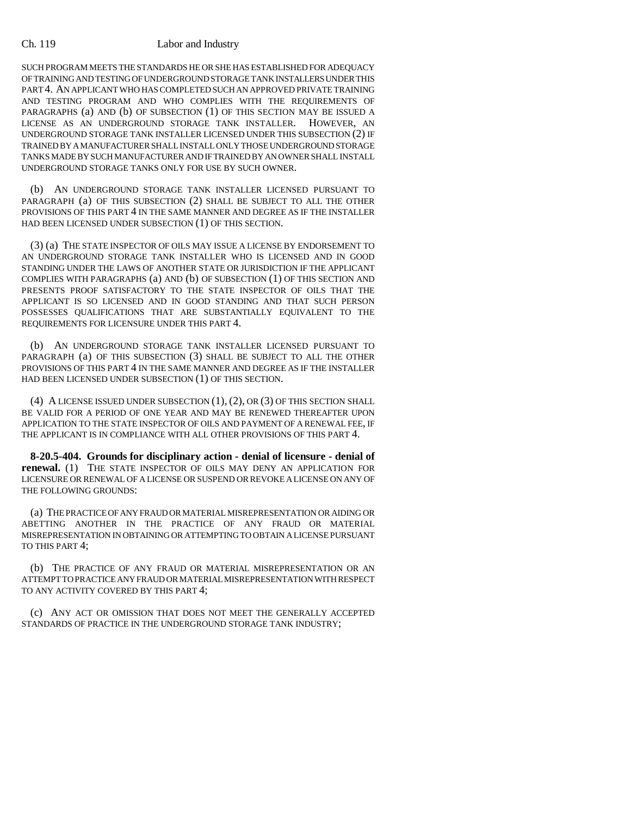SUCH PROGRAM MEETS THE STANDARDS HE OR SHE HAS ESTABLISHED FOR ADEQUACY OF TRAINING AND TESTING OF UNDERGROUND STORAGE TANK INSTALLERS UNDER THIS PART 4. AN APPLICANT WHO HAS COMPLETED SUCH AN APPROVED PRIVATE TRAINING AND TESTING PROGRAM AND WHO COMPLIES WITH THE REQUIREMENTS OF PARAGRAPHS (a) AND (b) OF SUBSECTION (1) OF THIS SECTION MAY BE ISSUED A LICENSE AS AN UNDERGROUND STORAGE TANK INSTALLER. HOWEVER, AN UNDERGROUND STORAGE TANK INSTALLER LICENSED UNDER THIS SUBSECTION (2) IF TRAINED BY A MANUFACTURER SHALL INSTALL ONLY THOSE UNDERGROUND STORAGE TANKS MADE BY SUCH MANUFACTURER AND IF TRAINED BY AN OWNER SHALL INSTALL UNDERGROUND STORAGE TANKS ONLY FOR USE BY SUCH OWNER.

(b) AN UNDERGROUND STORAGE TANK INSTALLER LICENSED PURSUANT TO PARAGRAPH (a) OF THIS SUBSECTION (2) SHALL BE SUBJECT TO ALL THE OTHER PROVISIONS OF THIS PART 4 IN THE SAME MANNER AND DEGREE AS IF THE INSTALLER HAD BEEN LICENSED UNDER SUBSECTION (1) OF THIS SECTION.

(3) (a) THE STATE INSPECTOR OF OILS MAY ISSUE A LICENSE BY ENDORSEMENT TO AN UNDERGROUND STORAGE TANK INSTALLER WHO IS LICENSED AND IN GOOD STANDING UNDER THE LAWS OF ANOTHER STATE OR JURISDICTION IF THE APPLICANT COMPLIES WITH PARAGRAPHS (a) AND (b) OF SUBSECTION (1) OF THIS SECTION AND PRESENTS PROOF SATISFACTORY TO THE STATE INSPECTOR OF OILS THAT THE APPLICANT IS SO LICENSED AND IN GOOD STANDING AND THAT SUCH PERSON POSSESSES QUALIFICATIONS THAT ARE SUBSTANTIALLY EQUIVALENT TO THE REQUIREMENTS FOR LICENSURE UNDER THIS PART 4.

(b) AN UNDERGROUND STORAGE TANK INSTALLER LICENSED PURSUANT TO PARAGRAPH (a) OF THIS SUBSECTION (3) SHALL BE SUBJECT TO ALL THE OTHER PROVISIONS OF THIS PART 4 IN THE SAME MANNER AND DEGREE AS IF THE INSTALLER HAD BEEN LICENSED UNDER SUBSECTION (1) OF THIS SECTION.

(4) A LICENSE ISSUED UNDER SUBSECTION (1), (2), OR (3) OF THIS SECTION SHALL BE VALID FOR A PERIOD OF ONE YEAR AND MAY BE RENEWED THEREAFTER UPON APPLICATION TO THE STATE INSPECTOR OF OILS AND PAYMENT OF A RENEWAL FEE, IF THE APPLICANT IS IN COMPLIANCE WITH ALL OTHER PROVISIONS OF THIS PART 4.

**8-20.5-404. Grounds for disciplinary action - denial of licensure - denial of renewal.** (1) THE STATE INSPECTOR OF OILS MAY DENY AN APPLICATION FOR LICENSURE OR RENEWAL OF A LICENSE OR SUSPEND OR REVOKE A LICENSE ON ANY OF THE FOLLOWING GROUNDS:

(a) THE PRACTICE OF ANY FRAUD OR MATERIAL MISREPRESENTATION OR AIDING OR ABETTING ANOTHER IN THE PRACTICE OF ANY FRAUD OR MATERIAL MISREPRESENTATION IN OBTAINING OR ATTEMPTING TO OBTAIN A LICENSE PURSUANT TO THIS PART 4;

(b) THE PRACTICE OF ANY FRAUD OR MATERIAL MISREPRESENTATION OR AN ATTEMPT TO PRACTICE ANY FRAUD OR MATERIAL MISREPRESENTATION WITH RESPECT TO ANY ACTIVITY COVERED BY THIS PART 4;

(c) ANY ACT OR OMISSION THAT DOES NOT MEET THE GENERALLY ACCEPTED STANDARDS OF PRACTICE IN THE UNDERGROUND STORAGE TANK INDUSTRY;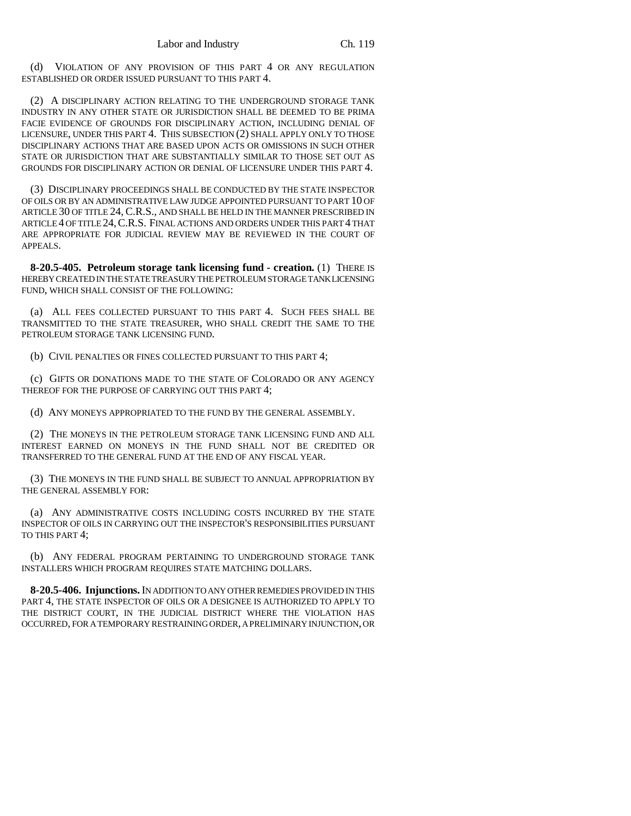(d) VIOLATION OF ANY PROVISION OF THIS PART 4 OR ANY REGULATION ESTABLISHED OR ORDER ISSUED PURSUANT TO THIS PART 4.

(2) A DISCIPLINARY ACTION RELATING TO THE UNDERGROUND STORAGE TANK INDUSTRY IN ANY OTHER STATE OR JURISDICTION SHALL BE DEEMED TO BE PRIMA FACIE EVIDENCE OF GROUNDS FOR DISCIPLINARY ACTION, INCLUDING DENIAL OF LICENSURE, UNDER THIS PART 4. THIS SUBSECTION (2) SHALL APPLY ONLY TO THOSE DISCIPLINARY ACTIONS THAT ARE BASED UPON ACTS OR OMISSIONS IN SUCH OTHER STATE OR JURISDICTION THAT ARE SUBSTANTIALLY SIMILAR TO THOSE SET OUT AS GROUNDS FOR DISCIPLINARY ACTION OR DENIAL OF LICENSURE UNDER THIS PART 4.

(3) DISCIPLINARY PROCEEDINGS SHALL BE CONDUCTED BY THE STATE INSPECTOR OF OILS OR BY AN ADMINISTRATIVE LAW JUDGE APPOINTED PURSUANT TO PART 10 OF ARTICLE 30 OF TITLE 24, C.R.S., AND SHALL BE HELD IN THE MANNER PRESCRIBED IN ARTICLE 4 OF TITLE 24,C.R.S. FINAL ACTIONS AND ORDERS UNDER THIS PART 4 THAT ARE APPROPRIATE FOR JUDICIAL REVIEW MAY BE REVIEWED IN THE COURT OF APPEALS.

**8-20.5-405. Petroleum storage tank licensing fund - creation.** (1) THERE IS HEREBY CREATED IN THE STATE TREASURY THE PETROLEUM STORAGE TANK LICENSING FUND, WHICH SHALL CONSIST OF THE FOLLOWING:

(a) ALL FEES COLLECTED PURSUANT TO THIS PART 4. SUCH FEES SHALL BE TRANSMITTED TO THE STATE TREASURER, WHO SHALL CREDIT THE SAME TO THE PETROLEUM STORAGE TANK LICENSING FUND.

(b) CIVIL PENALTIES OR FINES COLLECTED PURSUANT TO THIS PART 4;

(c) GIFTS OR DONATIONS MADE TO THE STATE OF COLORADO OR ANY AGENCY THEREOF FOR THE PURPOSE OF CARRYING OUT THIS PART 4;

(d) ANY MONEYS APPROPRIATED TO THE FUND BY THE GENERAL ASSEMBLY.

(2) THE MONEYS IN THE PETROLEUM STORAGE TANK LICENSING FUND AND ALL INTEREST EARNED ON MONEYS IN THE FUND SHALL NOT BE CREDITED OR TRANSFERRED TO THE GENERAL FUND AT THE END OF ANY FISCAL YEAR.

(3) THE MONEYS IN THE FUND SHALL BE SUBJECT TO ANNUAL APPROPRIATION BY THE GENERAL ASSEMBLY FOR:

(a) ANY ADMINISTRATIVE COSTS INCLUDING COSTS INCURRED BY THE STATE INSPECTOR OF OILS IN CARRYING OUT THE INSPECTOR'S RESPONSIBILITIES PURSUANT TO THIS PART 4;

(b) ANY FEDERAL PROGRAM PERTAINING TO UNDERGROUND STORAGE TANK INSTALLERS WHICH PROGRAM REQUIRES STATE MATCHING DOLLARS.

**8-20.5-406. Injunctions.** IN ADDITION TO ANY OTHER REMEDIES PROVIDED IN THIS PART 4, THE STATE INSPECTOR OF OILS OR A DESIGNEE IS AUTHORIZED TO APPLY TO THE DISTRICT COURT, IN THE JUDICIAL DISTRICT WHERE THE VIOLATION HAS OCCURRED, FOR A TEMPORARY RESTRAINING ORDER, A PRELIMINARY INJUNCTION, OR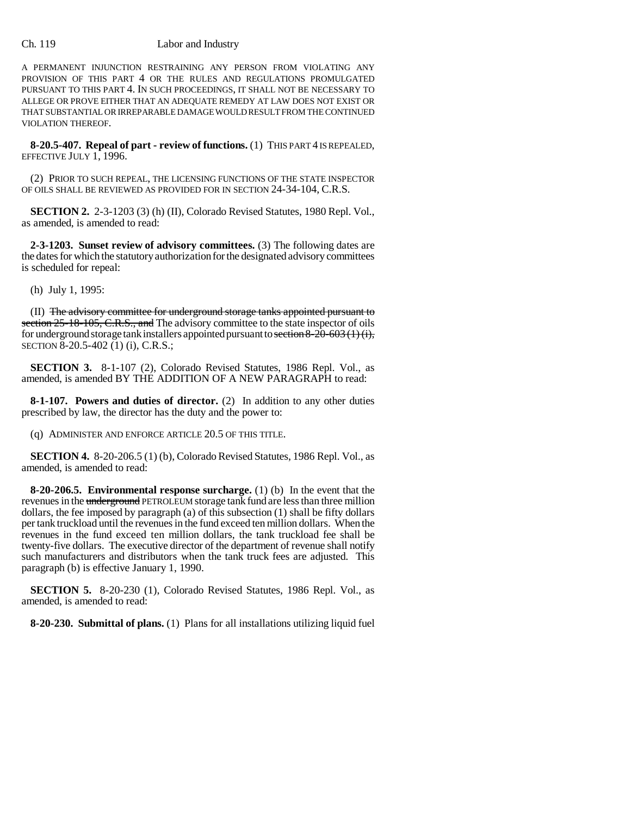A PERMANENT INJUNCTION RESTRAINING ANY PERSON FROM VIOLATING ANY PROVISION OF THIS PART 4 OR THE RULES AND REGULATIONS PROMULGATED PURSUANT TO THIS PART 4. IN SUCH PROCEEDINGS, IT SHALL NOT BE NECESSARY TO ALLEGE OR PROVE EITHER THAT AN ADEQUATE REMEDY AT LAW DOES NOT EXIST OR THAT SUBSTANTIAL OR IRREPARABLE DAMAGE WOULD RESULT FROM THE CONTINUED VIOLATION THEREOF.

**8-20.5-407. Repeal of part - review of functions.** (1) THIS PART 4 IS REPEALED, EFFECTIVE JULY 1, 1996.

(2) PRIOR TO SUCH REPEAL, THE LICENSING FUNCTIONS OF THE STATE INSPECTOR OF OILS SHALL BE REVIEWED AS PROVIDED FOR IN SECTION 24-34-104, C.R.S.

**SECTION 2.** 2-3-1203 (3) (h) (II), Colorado Revised Statutes, 1980 Repl. Vol., as amended, is amended to read:

**2-3-1203. Sunset review of advisory committees.** (3) The following dates are the dates for which the statutory authorization for the designated advisory committees is scheduled for repeal:

(h) July 1, 1995:

(II) The advisory committee for underground storage tanks appointed pursuant to section 25-18-105, C.R.S., and The advisory committee to the state inspector of oils for underground storage tank installers appointed pursuant to section  $8-20-603(1)(i)$ , SECTION 8-20.5-402 (1) (i), C.R.S.;

**SECTION 3.** 8-1-107 (2), Colorado Revised Statutes, 1986 Repl. Vol., as amended, is amended BY THE ADDITION OF A NEW PARAGRAPH to read:

**8-1-107. Powers and duties of director.** (2) In addition to any other duties prescribed by law, the director has the duty and the power to:

(q) ADMINISTER AND ENFORCE ARTICLE 20.5 OF THIS TITLE.

**SECTION 4.** 8-20-206.5 (1) (b), Colorado Revised Statutes, 1986 Repl. Vol., as amended, is amended to read:

**8-20-206.5. Environmental response surcharge.** (1) (b) In the event that the revenues in the *underground* PETROLEUM storage tank fund are less than three million dollars, the fee imposed by paragraph (a) of this subsection (1) shall be fifty dollars per tank truckload until the revenues in the fund exceed ten million dollars. When the revenues in the fund exceed ten million dollars, the tank truckload fee shall be twenty-five dollars. The executive director of the department of revenue shall notify such manufacturers and distributors when the tank truck fees are adjusted. This paragraph (b) is effective January 1, 1990.

**SECTION 5.** 8-20-230 (1), Colorado Revised Statutes, 1986 Repl. Vol., as amended, is amended to read:

**8-20-230. Submittal of plans.** (1) Plans for all installations utilizing liquid fuel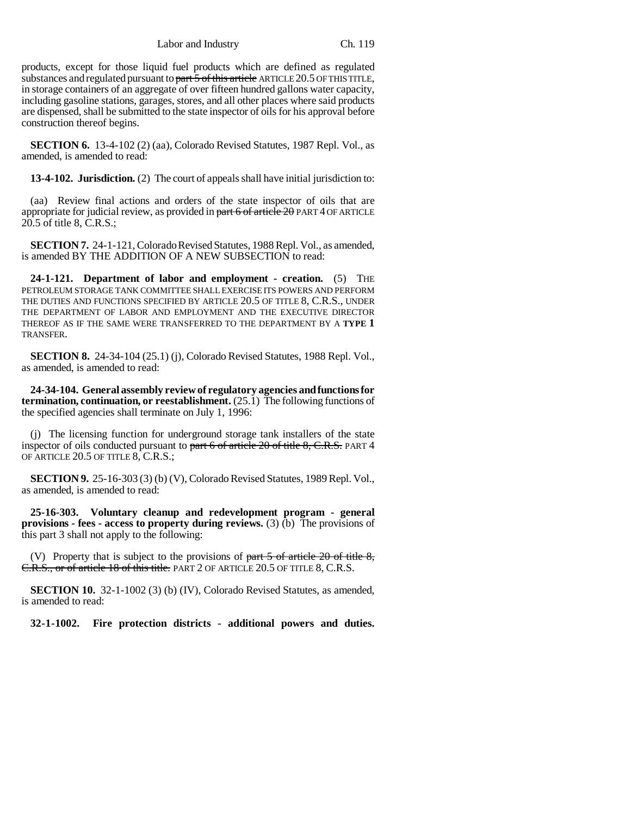Labor and Industry Ch. 119

products, except for those liquid fuel products which are defined as regulated substances and regulated pursuant to part 5 of this article ARTICLE 20.5 OF THIS TITLE, in storage containers of an aggregate of over fifteen hundred gallons water capacity, including gasoline stations, garages, stores, and all other places where said products are dispensed, shall be submitted to the state inspector of oils for his approval before construction thereof begins.

**SECTION 6.** 13-4-102 (2) (aa), Colorado Revised Statutes, 1987 Repl. Vol., as amended, is amended to read:

**13-4-102. Jurisdiction.** (2) The court of appeals shall have initial jurisdiction to:

(aa) Review final actions and orders of the state inspector of oils that are appropriate for judicial review, as provided in part 6 of article 20 PART 4 OF ARTICLE 20.5 of title 8, C.R.S.;

**SECTION 7.** 24-1-121, Colorado Revised Statutes, 1988 Repl. Vol., as amended, is amended BY THE ADDITION OF A NEW SUBSECTION to read:

**24-1-121. Department of labor and employment - creation.** (5) THE PETROLEUM STORAGE TANK COMMITTEE SHALL EXERCISE ITS POWERS AND PERFORM THE DUTIES AND FUNCTIONS SPECIFIED BY ARTICLE 20.5 OF TITLE 8, C.R.S., UNDER THE DEPARTMENT OF LABOR AND EMPLOYMENT AND THE EXECUTIVE DIRECTOR THEREOF AS IF THE SAME WERE TRANSFERRED TO THE DEPARTMENT BY A **TYPE 1** TRANSFER.

**SECTION 8.** 24-34-104 (25.1) (j), Colorado Revised Statutes, 1988 Repl. Vol., as amended, is amended to read:

**24-34-104. General assembly review of regulatory agencies and functions for termination, continuation, or reestablishment.** (25.1) The following functions of the specified agencies shall terminate on July 1, 1996:

(j) The licensing function for underground storage tank installers of the state inspector of oils conducted pursuant to part  $6$  of article 20 of title 8, C.R.S. PART 4 OF ARTICLE 20.5 OF TITLE 8, C.R.S.;

**SECTION 9.** 25-16-303 (3) (b) (V), Colorado Revised Statutes, 1989 Repl. Vol., as amended, is amended to read:

**25-16-303. Voluntary cleanup and redevelopment program - general provisions - fees - access to property during reviews.** (3) (b) The provisions of this part 3 shall not apply to the following:

(V) Property that is subject to the provisions of part  $5$  of article 20 of title  $8$ , C.R.S., or of article 18 of this title. PART 2 OF ARTICLE 20.5 OF TITLE 8, C.R.S.

**SECTION 10.** 32-1-1002 (3) (b) (IV), Colorado Revised Statutes, as amended, is amended to read:

**32-1-1002. Fire protection districts - additional powers and duties.**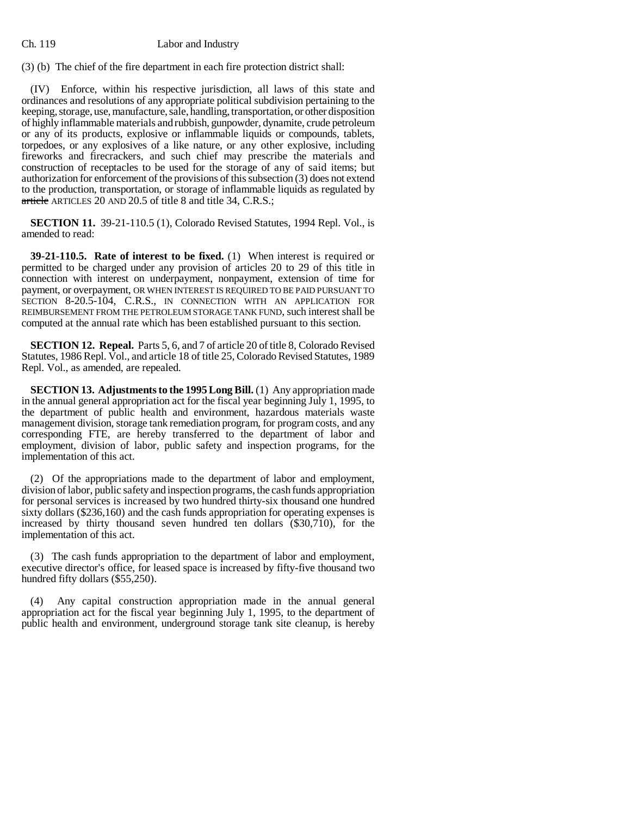(3) (b) The chief of the fire department in each fire protection district shall:

(IV) Enforce, within his respective jurisdiction, all laws of this state and ordinances and resolutions of any appropriate political subdivision pertaining to the keeping, storage, use, manufacture, sale, handling, transportation, or other disposition of highly inflammable materials and rubbish, gunpowder, dynamite, crude petroleum or any of its products, explosive or inflammable liquids or compounds, tablets, torpedoes, or any explosives of a like nature, or any other explosive, including fireworks and firecrackers, and such chief may prescribe the materials and construction of receptacles to be used for the storage of any of said items; but authorization for enforcement of the provisions of this subsection (3) does not extend to the production, transportation, or storage of inflammable liquids as regulated by article ARTICLES 20 AND 20.5 of title 8 and title 34, C.R.S.;

**SECTION 11.** 39-21-110.5 (1), Colorado Revised Statutes, 1994 Repl. Vol., is amended to read:

**39-21-110.5. Rate of interest to be fixed.** (1) When interest is required or permitted to be charged under any provision of articles 20 to 29 of this title in connection with interest on underpayment, nonpayment, extension of time for payment, or overpayment, OR WHEN INTEREST IS REQUIRED TO BE PAID PURSUANT TO SECTION 8-20.5-104, C.R.S., IN CONNECTION WITH AN APPLICATION FOR REIMBURSEMENT FROM THE PETROLEUM STORAGE TANK FUND, such interest shall be computed at the annual rate which has been established pursuant to this section.

**SECTION 12. Repeal.** Parts 5, 6, and 7 of article 20 of title 8, Colorado Revised Statutes, 1986 Repl. Vol., and article 18 of title 25, Colorado Revised Statutes, 1989 Repl. Vol., as amended, are repealed.

**SECTION 13. Adjustments to the 1995 Long Bill.** (1) Any appropriation made in the annual general appropriation act for the fiscal year beginning July 1, 1995, to the department of public health and environment, hazardous materials waste management division, storage tank remediation program, for program costs, and any corresponding FTE, are hereby transferred to the department of labor and employment, division of labor, public safety and inspection programs, for the implementation of this act.

(2) Of the appropriations made to the department of labor and employment, division of labor, public safety and inspection programs, the cash funds appropriation for personal services is increased by two hundred thirty-six thousand one hundred sixty dollars (\$236,160) and the cash funds appropriation for operating expenses is increased by thirty thousand seven hundred ten dollars (\$30,710), for the implementation of this act.

(3) The cash funds appropriation to the department of labor and employment, executive director's office, for leased space is increased by fifty-five thousand two hundred fifty dollars (\$55,250).

(4) Any capital construction appropriation made in the annual general appropriation act for the fiscal year beginning July 1, 1995, to the department of public health and environment, underground storage tank site cleanup, is hereby